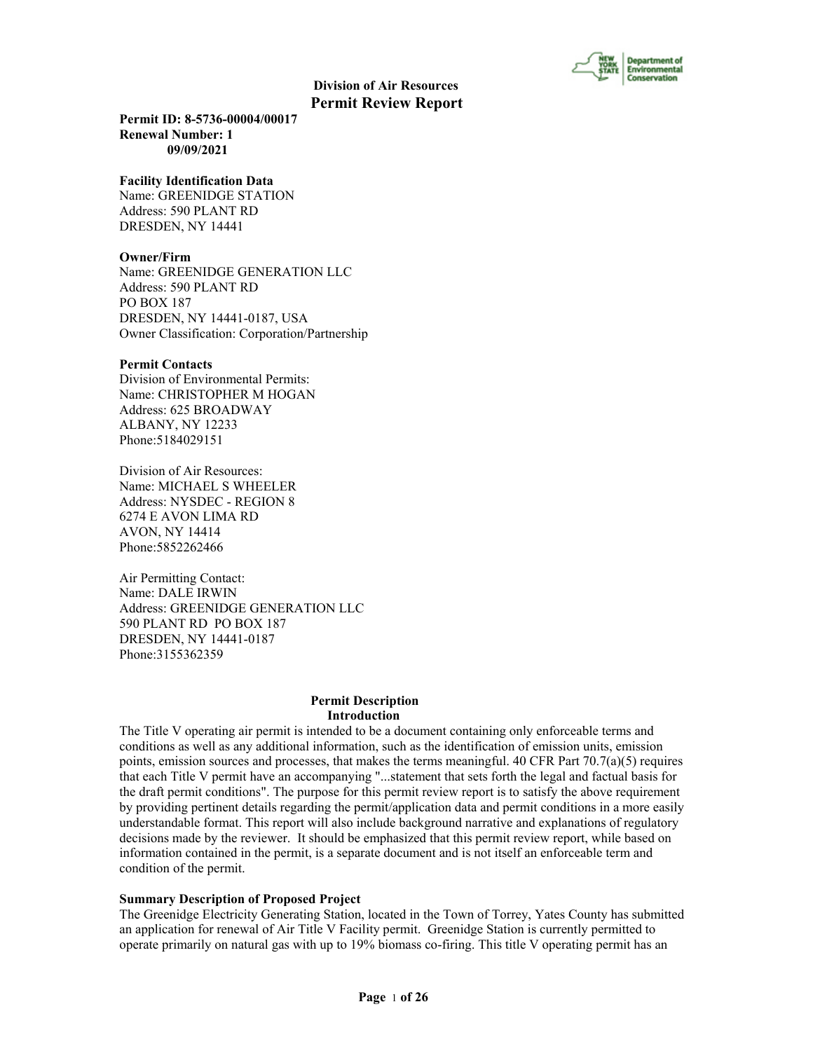

**Permit ID: 8-5736-00004/00017 Renewal Number: 1 09/09/2021**

#### **Facility Identification Data**

Name: GREENIDGE STATION Address: 590 PLANT RD DRESDEN, NY 14441

#### **Owner/Firm**

Name: GREENIDGE GENERATION LLC Address: 590 PLANT RD PO BOX 187 DRESDEN, NY 14441-0187, USA Owner Classification: Corporation/Partnership

#### **Permit Contacts**

Division of Environmental Permits: Name: CHRISTOPHER M HOGAN Address: 625 BROADWAY ALBANY, NY 12233 Phone:5184029151

Division of Air Resources: Name: MICHAEL S WHEELER Address: NYSDEC - REGION 8 6274 E AVON LIMA RD AVON, NY 14414 Phone:5852262466

Air Permitting Contact: Name: DALE IRWIN Address: GREENIDGE GENERATION LLC 590 PLANT RD PO BOX 187 DRESDEN, NY 14441-0187 Phone:3155362359

#### **Permit Description Introduction**

The Title V operating air permit is intended to be a document containing only enforceable terms and conditions as well as any additional information, such as the identification of emission units, emission points, emission sources and processes, that makes the terms meaningful. 40 CFR Part  $70.7(a)(5)$  requires that each Title V permit have an accompanying "...statement that sets forth the legal and factual basis for the draft permit conditions". The purpose for this permit review report is to satisfy the above requirement by providing pertinent details regarding the permit/application data and permit conditions in a more easily understandable format. This report will also include background narrative and explanations of regulatory decisions made by the reviewer. It should be emphasized that this permit review report, while based on information contained in the permit, is a separate document and is not itself an enforceable term and condition of the permit.

#### **Summary Description of Proposed Project**

The Greenidge Electricity Generating Station, located in the Town of Torrey, Yates County has submitted an application for renewal of Air Title V Facility permit. Greenidge Station is currently permitted to operate primarily on natural gas with up to 19% biomass co-firing. This title V operating permit has an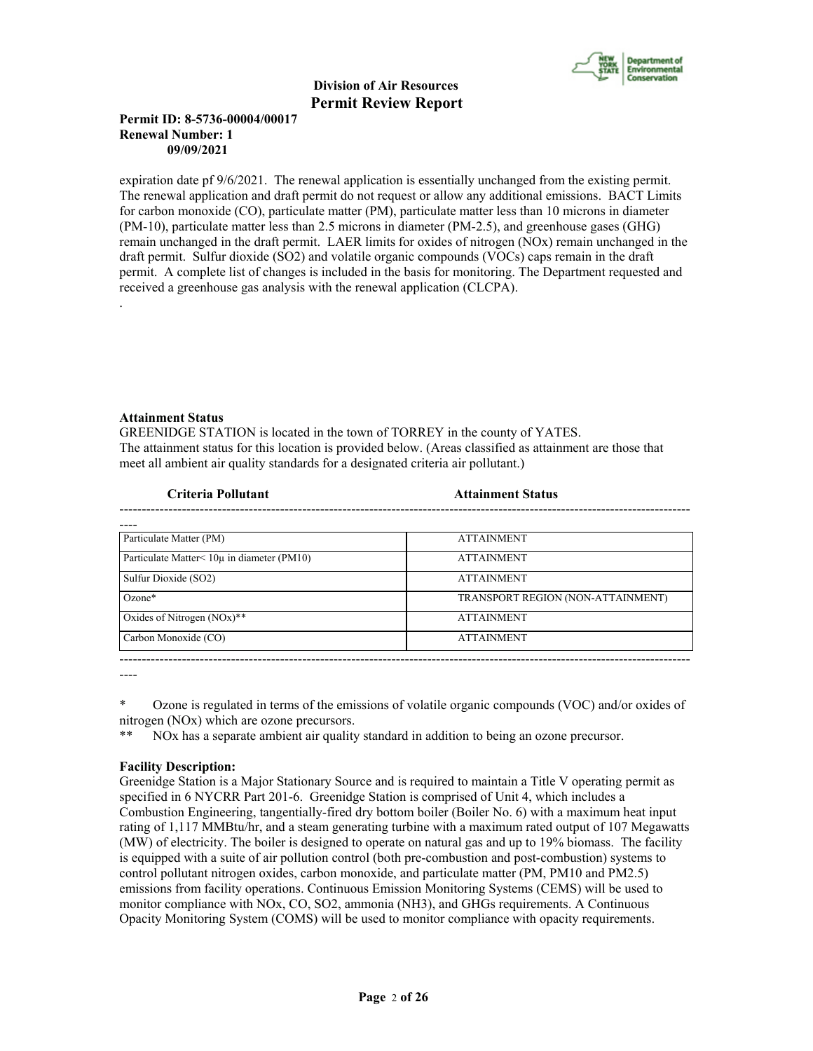

# **Permit ID: 8-5736-00004/00017 Renewal Number: 1 09/09/2021**

expiration date pf 9/6/2021. The renewal application is essentially unchanged from the existing permit. The renewal application and draft permit do not request or allow any additional emissions. BACT Limits for carbon monoxide (CO), particulate matter (PM), particulate matter less than 10 microns in diameter (PM-10), particulate matter less than 2.5 microns in diameter (PM-2.5), and greenhouse gases (GHG) remain unchanged in the draft permit. LAER limits for oxides of nitrogen (NOx) remain unchanged in the draft permit. Sulfur dioxide (SO2) and volatile organic compounds (VOCs) caps remain in the draft permit. A complete list of changes is included in the basis for monitoring. The Department requested and received a greenhouse gas analysis with the renewal application (CLCPA). .

# **Attainment Status**

GREENIDGE STATION is located in the town of TORREY in the county of YATES. The attainment status for this location is provided below. (Areas classified as attainment are those that meet all ambient air quality standards for a designated criteria air pollutant.)

| Criteria Pollutant                                 | <b>Attainment Status</b>          |  |
|----------------------------------------------------|-----------------------------------|--|
|                                                    |                                   |  |
| Particulate Matter (PM)                            | <b>ATTAINMENT</b>                 |  |
| Particulate Matter $\leq 10\mu$ in diameter (PM10) | <b>ATTAINMENT</b>                 |  |
| Sulfur Dioxide (SO2)                               | <b>ATTAINMENT</b>                 |  |
| $Ozone*$                                           | TRANSPORT REGION (NON-ATTAINMENT) |  |
| Oxides of Nitrogen $(NOx)$ **                      | <b>ATTAINMENT</b>                 |  |
| Carbon Monoxide (CO)                               | <b>ATTAINMENT</b>                 |  |
|                                                    |                                   |  |

----

\* Ozone is regulated in terms of the emissions of volatile organic compounds (VOC) and/or oxides of nitrogen (NOx) which are ozone precursors.

\*\* NOx has a separate ambient air quality standard in addition to being an ozone precursor.

# **Facility Description:**

Greenidge Station is a Major Stationary Source and is required to maintain a Title V operating permit as specified in 6 NYCRR Part 201-6. Greenidge Station is comprised of Unit 4, which includes a Combustion Engineering, tangentially-fired dry bottom boiler (Boiler No. 6) with a maximum heat input rating of 1,117 MMBtu/hr, and a steam generating turbine with a maximum rated output of 107 Megawatts (MW) of electricity. The boiler is designed to operate on natural gas and up to 19% biomass. The facility is equipped with a suite of air pollution control (both pre-combustion and post-combustion) systems to control pollutant nitrogen oxides, carbon monoxide, and particulate matter (PM, PM10 and PM2.5) emissions from facility operations. Continuous Emission Monitoring Systems (CEMS) will be used to monitor compliance with NOx, CO, SO2, ammonia (NH3), and GHGs requirements. A Continuous Opacity Monitoring System (COMS) will be used to monitor compliance with opacity requirements.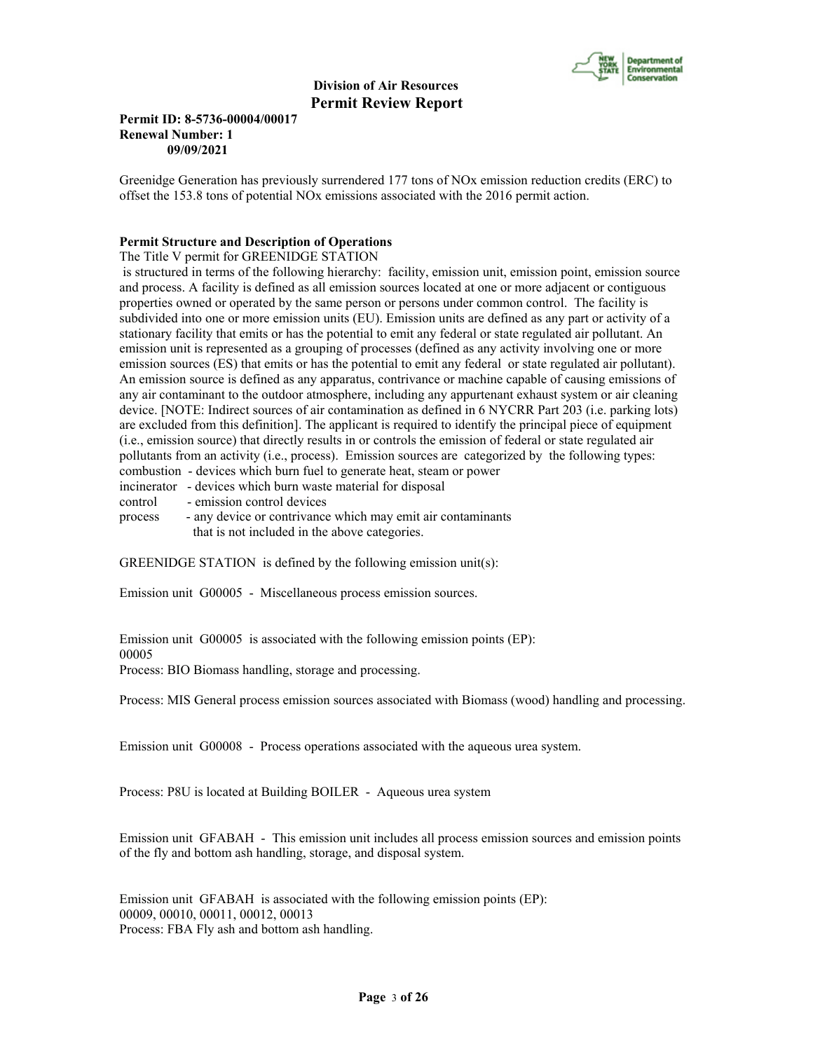

# **Permit ID: 8-5736-00004/00017 Renewal Number: 1 09/09/2021**

Greenidge Generation has previously surrendered 177 tons of NOx emission reduction credits (ERC) to offset the 153.8 tons of potential NOx emissions associated with the 2016 permit action.

# **Permit Structure and Description of Operations**

The Title V permit for GREENIDGE STATION

 is structured in terms of the following hierarchy: facility, emission unit, emission point, emission source and process. A facility is defined as all emission sources located at one or more adjacent or contiguous properties owned or operated by the same person or persons under common control. The facility is subdivided into one or more emission units (EU). Emission units are defined as any part or activity of a stationary facility that emits or has the potential to emit any federal or state regulated air pollutant. An emission unit is represented as a grouping of processes (defined as any activity involving one or more emission sources (ES) that emits or has the potential to emit any federal or state regulated air pollutant). An emission source is defined as any apparatus, contrivance or machine capable of causing emissions of any air contaminant to the outdoor atmosphere, including any appurtenant exhaust system or air cleaning device. [NOTE: Indirect sources of air contamination as defined in 6 NYCRR Part 203 (i.e. parking lots) are excluded from this definition]. The applicant is required to identify the principal piece of equipment (i.e., emission source) that directly results in or controls the emission of federal or state regulated air pollutants from an activity (i.e., process). Emission sources are categorized by the following types: combustion - devices which burn fuel to generate heat, steam or power incinerator - devices which burn waste material for disposal

control - emission control devices

process - any device or contrivance which may emit air contaminants that is not included in the above categories.

GREENIDGE STATION is defined by the following emission unit(s):

Emission unit G00005 - Miscellaneous process emission sources.

Emission unit G00005 is associated with the following emission points (EP): 00005 Process: BIO Biomass handling, storage and processing.

Process: MIS General process emission sources associated with Biomass (wood) handling and processing.

Emission unit G00008 - Process operations associated with the aqueous urea system.

Process: P8U is located at Building BOILER - Aqueous urea system

Emission unit GFABAH - This emission unit includes all process emission sources and emission points of the fly and bottom ash handling, storage, and disposal system.

Emission unit GFABAH is associated with the following emission points (EP): 00009, 00010, 00011, 00012, 00013 Process: FBA Fly ash and bottom ash handling.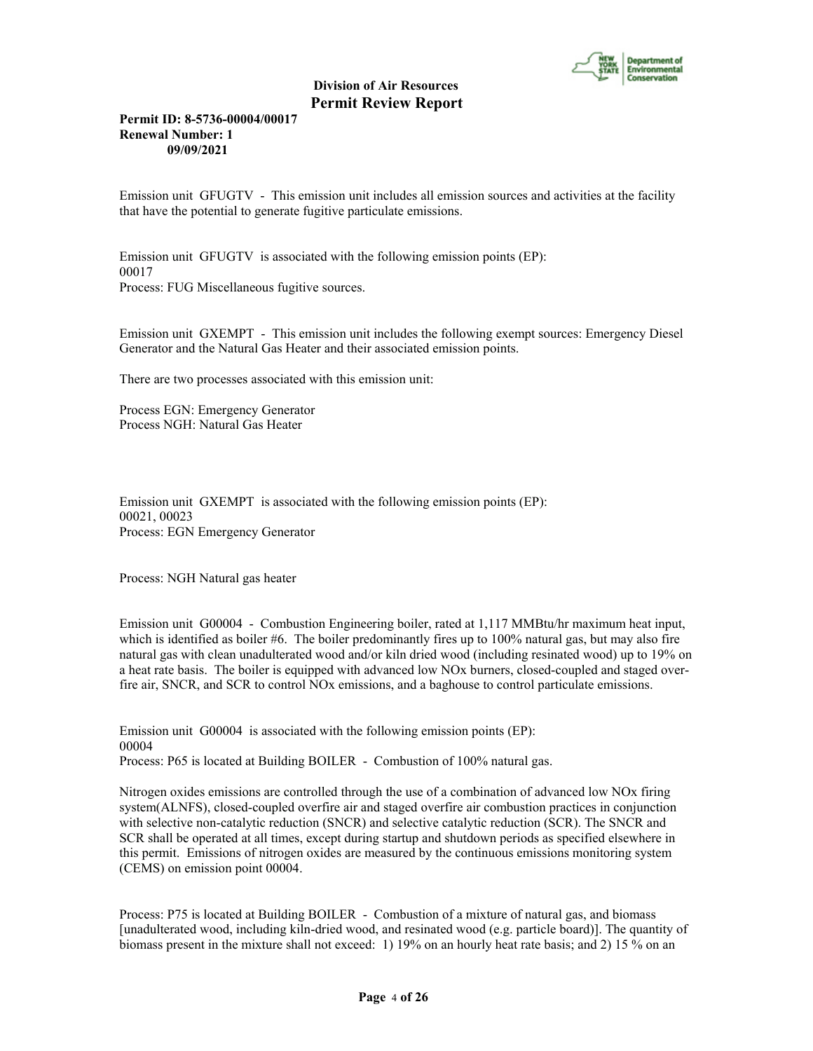

**Permit ID: 8-5736-00004/00017 Renewal Number: 1 09/09/2021**

Emission unit GFUGTV - This emission unit includes all emission sources and activities at the facility that have the potential to generate fugitive particulate emissions.

Emission unit GFUGTV is associated with the following emission points (EP): 00017 Process: FUG Miscellaneous fugitive sources.

Emission unit GXEMPT - This emission unit includes the following exempt sources: Emergency Diesel Generator and the Natural Gas Heater and their associated emission points.

There are two processes associated with this emission unit:

Process EGN: Emergency Generator Process NGH: Natural Gas Heater

Emission unit GXEMPT is associated with the following emission points (EP): 00021, 00023 Process: EGN Emergency Generator

Process: NGH Natural gas heater

Emission unit G00004 - Combustion Engineering boiler, rated at 1,117 MMBtu/hr maximum heat input, which is identified as boiler #6. The boiler predominantly fires up to 100% natural gas, but may also fire natural gas with clean unadulterated wood and/or kiln dried wood (including resinated wood) up to 19% on a heat rate basis. The boiler is equipped with advanced low NOx burners, closed-coupled and staged overfire air, SNCR, and SCR to control NOx emissions, and a baghouse to control particulate emissions.

Emission unit G00004 is associated with the following emission points (EP): 00004 Process: P65 is located at Building BOILER - Combustion of 100% natural gas.

Nitrogen oxides emissions are controlled through the use of a combination of advanced low NOx firing system(ALNFS), closed-coupled overfire air and staged overfire air combustion practices in conjunction with selective non-catalytic reduction (SNCR) and selective catalytic reduction (SCR). The SNCR and SCR shall be operated at all times, except during startup and shutdown periods as specified elsewhere in this permit. Emissions of nitrogen oxides are measured by the continuous emissions monitoring system (CEMS) on emission point 00004.

Process: P75 is located at Building BOILER - Combustion of a mixture of natural gas, and biomass [unadulterated wood, including kiln-dried wood, and resinated wood (e.g. particle board)]. The quantity of biomass present in the mixture shall not exceed: 1) 19% on an hourly heat rate basis; and 2) 15 % on an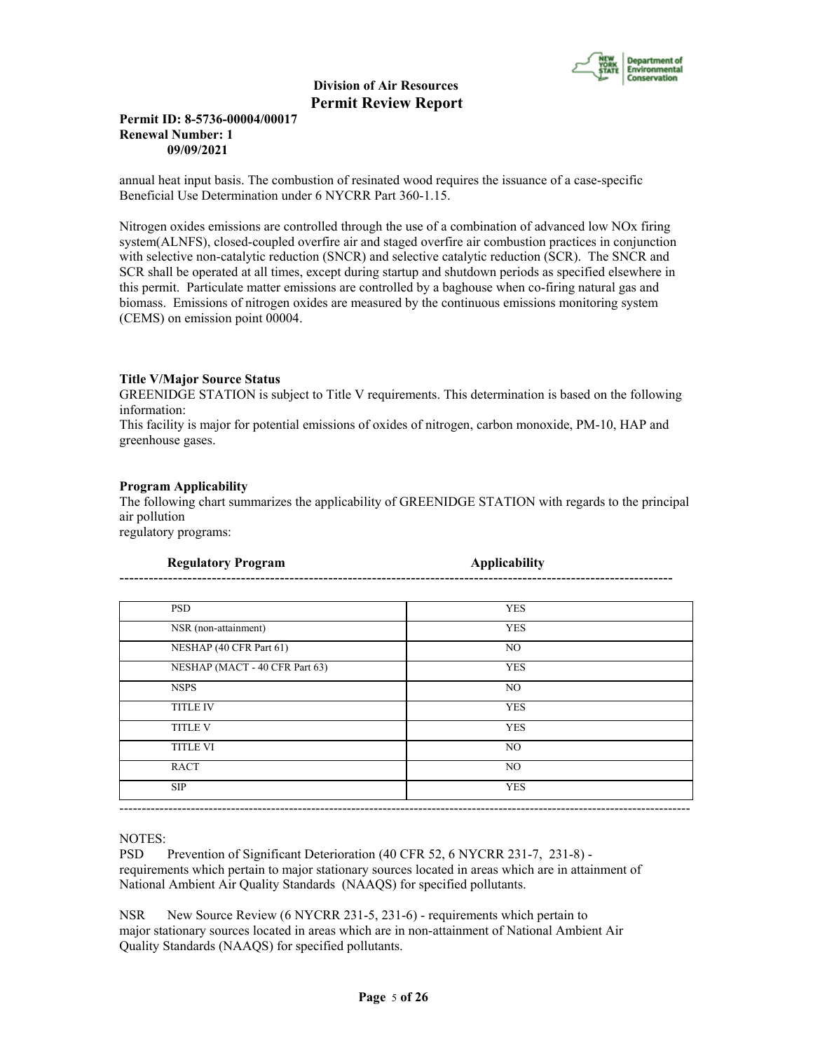

# **Permit ID: 8-5736-00004/00017 Renewal Number: 1 09/09/2021**

annual heat input basis. The combustion of resinated wood requires the issuance of a case-specific Beneficial Use Determination under 6 NYCRR Part 360-1.15.

Nitrogen oxides emissions are controlled through the use of a combination of advanced low NOx firing system(ALNFS), closed-coupled overfire air and staged overfire air combustion practices in conjunction with selective non-catalytic reduction (SNCR) and selective catalytic reduction (SCR). The SNCR and SCR shall be operated at all times, except during startup and shutdown periods as specified elsewhere in this permit. Particulate matter emissions are controlled by a baghouse when co-firing natural gas and biomass. Emissions of nitrogen oxides are measured by the continuous emissions monitoring system (CEMS) on emission point 00004.

# **Title V/Major Source Status**

GREENIDGE STATION is subject to Title V requirements. This determination is based on the following information:

This facility is major for potential emissions of oxides of nitrogen, carbon monoxide, PM-10, HAP and greenhouse gases.

#### **Program Applicability**

The following chart summarizes the applicability of GREENIDGE STATION with regards to the principal air pollution

regulatory programs:

| <b>Regulatory Program</b>      | <b>Applicability</b> |
|--------------------------------|----------------------|
|                                |                      |
| <b>PSD</b>                     | <b>YES</b>           |
| NSR (non-attainment)           | <b>YES</b>           |
| NESHAP (40 CFR Part 61)        | NO.                  |
| NESHAP (MACT - 40 CFR Part 63) | <b>YES</b>           |
| <b>NSPS</b>                    | NO.                  |
| <b>TITLE IV</b>                | <b>YES</b>           |
| <b>TITLE V</b>                 | <b>YES</b>           |
| <b>TITLE VI</b>                | NO                   |
| <b>RACT</b>                    | NO                   |
| <b>SIP</b>                     | <b>YES</b>           |

NOTES:

PSD Prevention of Significant Deterioration (40 CFR 52, 6 NYCRR 231-7, 231-8) requirements which pertain to major stationary sources located in areas which are in attainment of National Ambient Air Quality Standards (NAAQS) for specified pollutants.

NSR New Source Review (6 NYCRR 231-5, 231-6) - requirements which pertain to major stationary sources located in areas which are in non-attainment of National Ambient Air Quality Standards (NAAQS) for specified pollutants.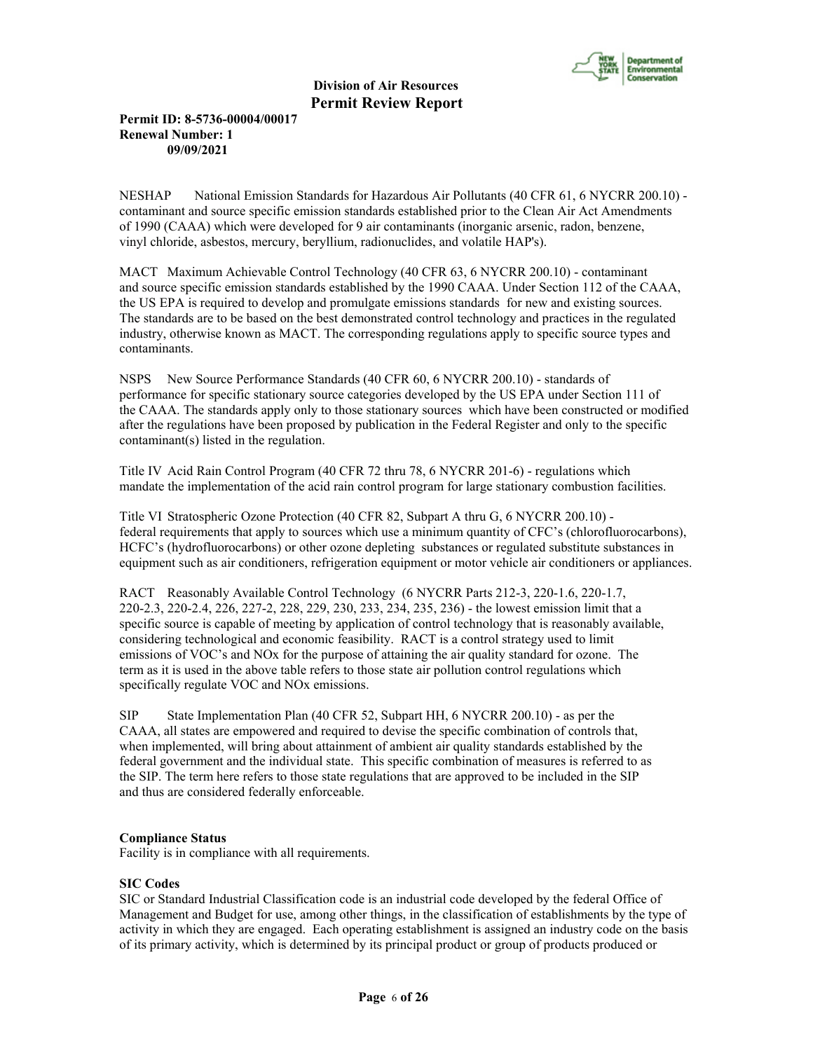

# **Permit ID: 8-5736-00004/00017 Renewal Number: 1 09/09/2021**

NESHAP National Emission Standards for Hazardous Air Pollutants (40 CFR 61, 6 NYCRR 200.10) contaminant and source specific emission standards established prior to the Clean Air Act Amendments of 1990 (CAAA) which were developed for 9 air contaminants (inorganic arsenic, radon, benzene, vinyl chloride, asbestos, mercury, beryllium, radionuclides, and volatile HAP's).

MACT Maximum Achievable Control Technology (40 CFR 63, 6 NYCRR 200.10) - contaminant and source specific emission standards established by the 1990 CAAA. Under Section 112 of the CAAA, the US EPA is required to develop and promulgate emissions standards for new and existing sources. The standards are to be based on the best demonstrated control technology and practices in the regulated industry, otherwise known as MACT. The corresponding regulations apply to specific source types and contaminants.

NSPS New Source Performance Standards (40 CFR 60, 6 NYCRR 200.10) - standards of performance for specific stationary source categories developed by the US EPA under Section 111 of the CAAA. The standards apply only to those stationary sources which have been constructed or modified after the regulations have been proposed by publication in the Federal Register and only to the specific contaminant(s) listed in the regulation.

Title IV Acid Rain Control Program (40 CFR 72 thru 78, 6 NYCRR 201-6) - regulations which mandate the implementation of the acid rain control program for large stationary combustion facilities.

Title VI Stratospheric Ozone Protection (40 CFR 82, Subpart A thru G, 6 NYCRR 200.10) federal requirements that apply to sources which use a minimum quantity of CFC's (chlorofluorocarbons), HCFC's (hydrofluorocarbons) or other ozone depleting substances or regulated substitute substances in equipment such as air conditioners, refrigeration equipment or motor vehicle air conditioners or appliances.

RACT Reasonably Available Control Technology (6 NYCRR Parts 212-3, 220-1.6, 220-1.7, 220-2.3, 220-2.4, 226, 227-2, 228, 229, 230, 233, 234, 235, 236) - the lowest emission limit that a specific source is capable of meeting by application of control technology that is reasonably available, considering technological and economic feasibility. RACT is a control strategy used to limit emissions of VOC's and NOx for the purpose of attaining the air quality standard for ozone. The term as it is used in the above table refers to those state air pollution control regulations which specifically regulate VOC and NOx emissions.

SIP State Implementation Plan (40 CFR 52, Subpart HH, 6 NYCRR 200.10) - as per the CAAA, all states are empowered and required to devise the specific combination of controls that, when implemented, will bring about attainment of ambient air quality standards established by the federal government and the individual state. This specific combination of measures is referred to as the SIP. The term here refers to those state regulations that are approved to be included in the SIP and thus are considered federally enforceable.

# **Compliance Status**

Facility is in compliance with all requirements.

# **SIC Codes**

SIC or Standard Industrial Classification code is an industrial code developed by the federal Office of Management and Budget for use, among other things, in the classification of establishments by the type of activity in which they are engaged. Each operating establishment is assigned an industry code on the basis of its primary activity, which is determined by its principal product or group of products produced or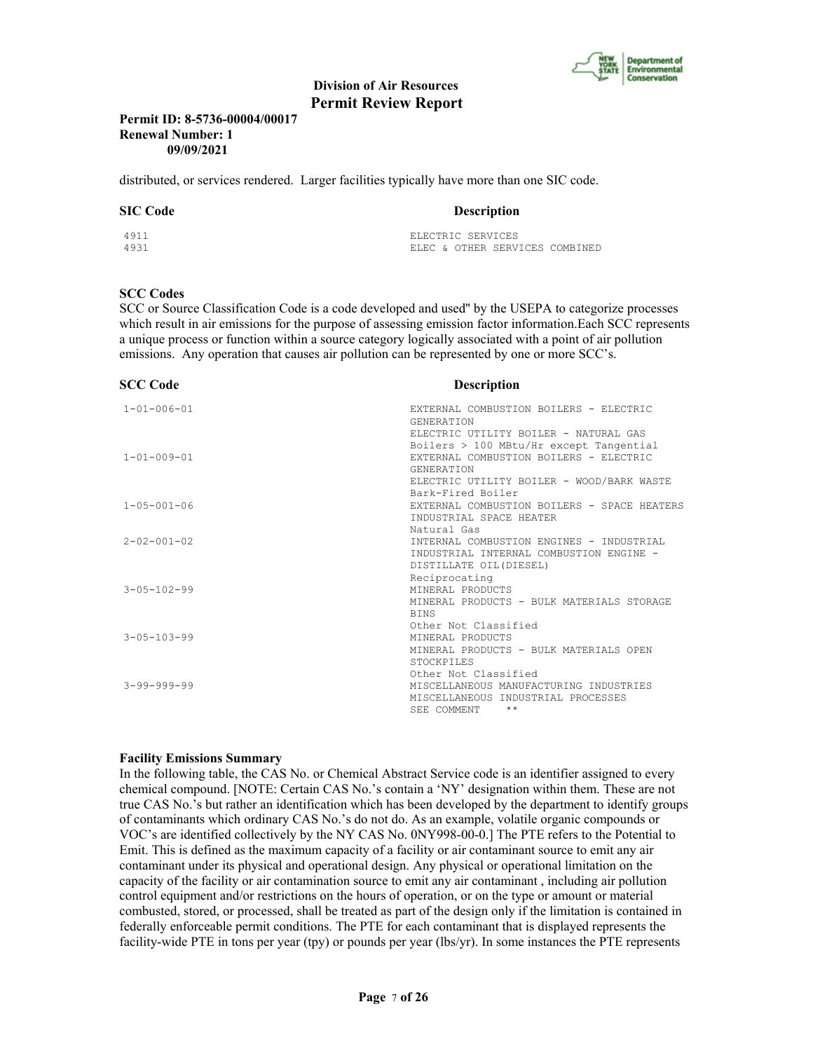

# **Permit ID: 8-5736-00004/00017 Renewal Number: 1 09/09/2021**

distributed, or services rendered. Larger facilities typically have more than one SIC code.

#### **SIC Code** Description

| 4911 | ELECTRIC SERVICES              |
|------|--------------------------------|
| 4931 | ELEC & OTHER SERVICES COMBINED |

#### **SCC Codes**

SCC or Source Classification Code is a code developed and used'' by the USEPA to categorize processes which result in air emissions for the purpose of assessing emission factor information.Each SCC represents a unique process or function within a source category logically associated with a point of air pollution emissions. Any operation that causes air pollution can be represented by one or more SCC's.

| <b>SCC Code</b>     | <b>Description</b>                          |
|---------------------|---------------------------------------------|
| $1 - 01 - 006 - 01$ | EXTERNAL COMBUSTION BOILERS - ELECTRIC      |
|                     | <b>GENERATION</b>                           |
|                     | ELECTRIC UTILITY BOILER - NATURAL GAS       |
|                     | Boilers $> 100$ MBtu/Hr except Tangential   |
| $1 - 01 - 009 - 01$ | EXTERNAL COMBUSTION BOILERS - ELECTRIC      |
|                     | <b>GENERATION</b>                           |
|                     | ELECTRIC UTILITY BOILER - WOOD/BARK WASTE   |
|                     | Bark-Fired Boiler                           |
| $1 - 05 - 001 - 06$ | EXTERNAL COMBUSTION BOILERS - SPACE HEATERS |
|                     | INDUSTRIAL SPACE HEATER                     |
|                     | Natural Gas                                 |
| $2 - 02 - 001 - 02$ | INTERNAL COMBUSTION ENGINES - INDUSTRIAL    |
|                     | INDUSTRIAL INTERNAL COMBUSTION ENGINE -     |
|                     | DISTILLATE OIL (DIESEL)                     |
|                     | Reciprocating                               |
| $3 - 05 - 102 - 99$ | MINERAL PRODUCTS                            |
|                     | MINERAL PRODUCTS - BULK MATERIALS STORAGE   |
|                     | <b>BINS</b>                                 |
|                     | Other Not Classified                        |
| $3 - 05 - 103 - 99$ | MINERAL PRODUCTS                            |
|                     | MINERAL PRODUCTS - BULK MATERIALS OPEN      |
|                     | <b>STOCKPILES</b>                           |
|                     | Other Not Classified                        |
| $3 - 99 - 999 - 99$ | MISCELLANEOUS MANUFACTURING INDUSTRIES      |
|                     | MISCELLANEOUS INDUSTRIAL PROCESSES          |
|                     | $***$<br>SEE COMMENT                        |

#### **Facility Emissions Summary**

In the following table, the CAS No. or Chemical Abstract Service code is an identifier assigned to every chemical compound. [NOTE: Certain CAS No.'s contain a 'NY' designation within them. These are not true CAS No.'s but rather an identification which has been developed by the department to identify groups of contaminants which ordinary CAS No.'s do not do. As an example, volatile organic compounds or VOC's are identified collectively by the NY CAS No. 0NY998-00-0.] The PTE refers to the Potential to Emit. This is defined as the maximum capacity of a facility or air contaminant source to emit any air contaminant under its physical and operational design. Any physical or operational limitation on the capacity of the facility or air contamination source to emit any air contaminant , including air pollution control equipment and/or restrictions on the hours of operation, or on the type or amount or material combusted, stored, or processed, shall be treated as part of the design only if the limitation is contained in federally enforceable permit conditions. The PTE for each contaminant that is displayed represents the facility-wide PTE in tons per year (tpy) or pounds per year (lbs/yr). In some instances the PTE represents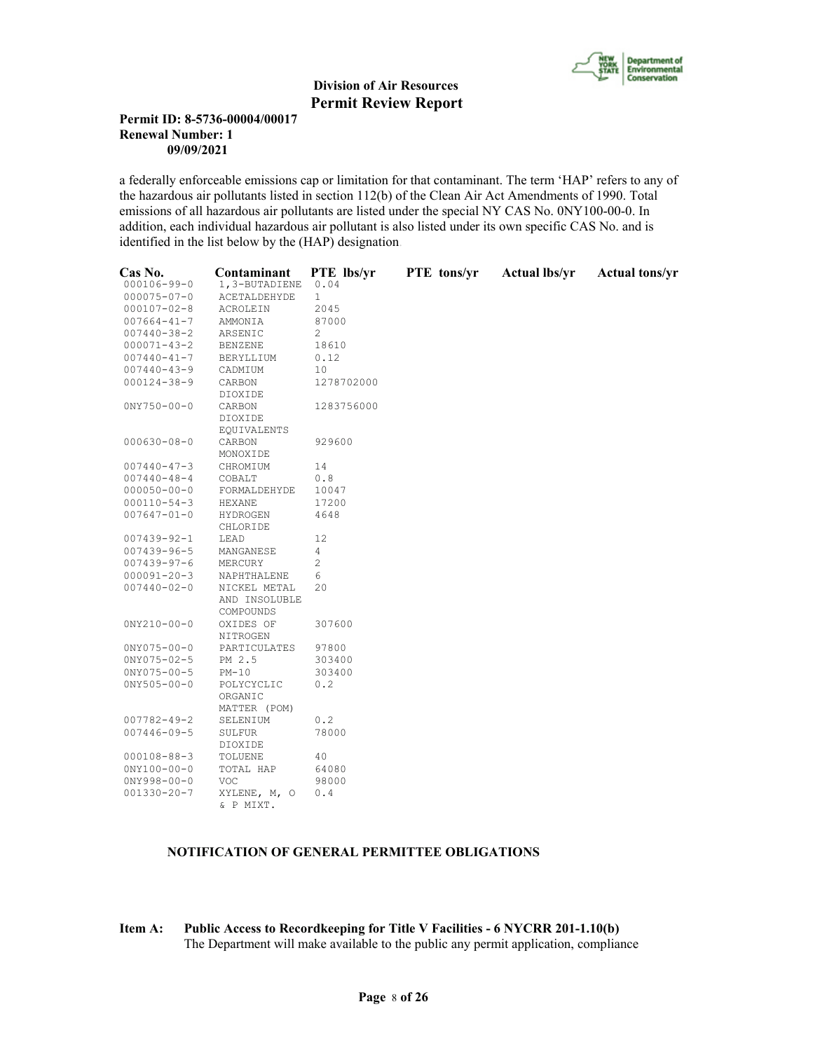

# **Permit ID: 8-5736-00004/00017 Renewal Number: 1 09/09/2021**

a federally enforceable emissions cap or limitation for that contaminant. The term 'HAP' refers to any of the hazardous air pollutants listed in section 112(b) of the Clean Air Act Amendments of 1990. Total emissions of all hazardous air pollutants are listed under the special NY CAS No. 0NY100-00-0. In addition, each individual hazardous air pollutant is also listed under its own specific CAS No. and is identified in the list below by the (HAP) designation.

| Cas No.           | Contaminant           | PTE lbs/yr     | PTE tons/yr | <b>Actual lbs/yr</b> | <b>Actual tons/yr</b> |
|-------------------|-----------------------|----------------|-------------|----------------------|-----------------------|
| $000106 - 99 - 0$ | 1,3-BUTADIENE         | 0.04           |             |                      |                       |
| $000075 - 07 - 0$ | ACETALDEHYDE          | $\mathbf{1}$   |             |                      |                       |
| $000107 - 02 - 8$ | ACROLEIN              | 2045           |             |                      |                       |
| $007664 - 41 - 7$ | AMMONIA               | 87000          |             |                      |                       |
| $007440 - 38 - 2$ | ARSENIC               | 2              |             |                      |                       |
| $000071 - 43 - 2$ | <b>BENZENE</b>        | 18610          |             |                      |                       |
| $007440 - 41 - 7$ | BERYLLIUM             | 0.12           |             |                      |                       |
| $007440 - 43 - 9$ | CADMIUM               | 10             |             |                      |                       |
| $000124 - 38 - 9$ |                       | 1278702000     |             |                      |                       |
|                   | CARBON<br>DIOXIDE     |                |             |                      |                       |
| $0NY750 - 00 - 0$ | CARBON                | 1283756000     |             |                      |                       |
|                   | DIOXIDE               |                |             |                      |                       |
|                   | <b>EQUIVALENTS</b>    |                |             |                      |                       |
| $000630 - 08 - 0$ | CARBON                | 929600         |             |                      |                       |
|                   | MONOXIDE              |                |             |                      |                       |
| $007440 - 47 - 3$ | CHROMIUM              | 14             |             |                      |                       |
| $007440 - 48 - 4$ | COBALT                | 0.8            |             |                      |                       |
| $000050 - 00 - 0$ | FORMALDEHYDE          | 10047          |             |                      |                       |
| $000110 - 54 - 3$ | <b>HEXANE</b>         | 17200          |             |                      |                       |
| $007647 - 01 - 0$ | HYDROGEN              | 4648           |             |                      |                       |
|                   | CHLORIDE              |                |             |                      |                       |
| $007439 - 92 - 1$ | LEAD                  | 12             |             |                      |                       |
| 007439-96-5       | MANGANESE             | 4              |             |                      |                       |
| $007439 - 97 - 6$ | MERCURY               | $\overline{c}$ |             |                      |                       |
| $000091 - 20 - 3$ | NAPHTHALENE           | 6              |             |                      |                       |
| $007440 - 02 - 0$ | NICKEL METAL          | 20             |             |                      |                       |
|                   | AND INSOLUBLE         |                |             |                      |                       |
|                   | COMPOUNDS             |                |             |                      |                       |
| $0NY210 - 00 - 0$ | OXIDES OF<br>NITROGEN | 307600         |             |                      |                       |
| $0NY075 - 00 - 0$ | PARTICULATES          | 97800          |             |                      |                       |
| $0NY075 - 02 - 5$ | PM 2.5                | 303400         |             |                      |                       |
| $0NY075 - 00 - 5$ | $PM-10$               | 303400         |             |                      |                       |
| $0NY505 - 00 - 0$ | POLYCYCLIC            | 0.2            |             |                      |                       |
|                   | ORGANIC               |                |             |                      |                       |
|                   | MATTER (POM)          |                |             |                      |                       |
| $007782 - 49 - 2$ | SELENIUM              | 0.2            |             |                      |                       |
| $007446 - 09 - 5$ | SULFUR                | 78000          |             |                      |                       |
|                   | DIOXIDE               |                |             |                      |                       |
| $000108 - 88 - 3$ | TOLUENE               | 40             |             |                      |                       |
| $0NY100 - 00 - 0$ | TOTAL HAP             | 64080          |             |                      |                       |
| $0NY998 - 00 - 0$ | <b>VOC</b>            | 98000          |             |                      |                       |
| $001330 - 20 - 7$ | XYLENE, M, O          | 0.4            |             |                      |                       |
|                   | & P MIXT.             |                |             |                      |                       |

### **NOTIFICATION OF GENERAL PERMITTEE OBLIGATIONS**

**Item A: Public Access to Recordkeeping for Title V Facilities - 6 NYCRR 201-1.10(b)** The Department will make available to the public any permit application, compliance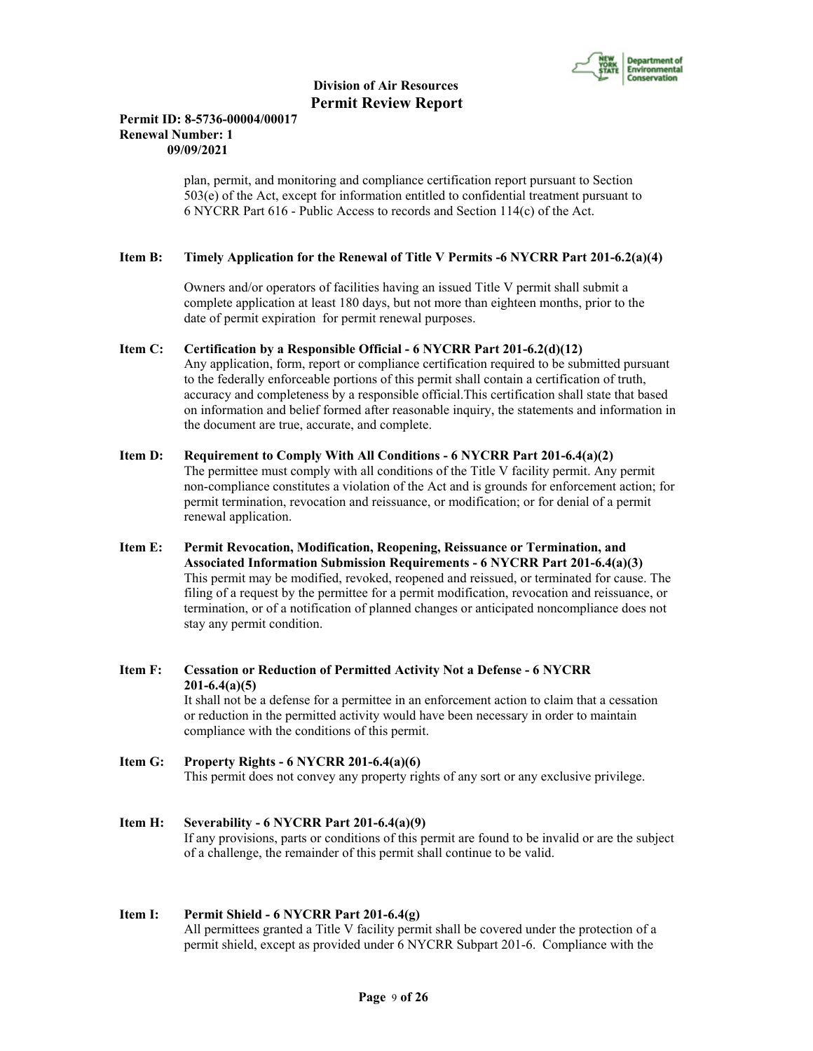

# **Permit ID: 8-5736-00004/00017 Renewal Number: 1 09/09/2021**

 plan, permit, and monitoring and compliance certification report pursuant to Section 503(e) of the Act, except for information entitled to confidential treatment pursuant to 6 NYCRR Part 616 - Public Access to records and Section 114(c) of the Act.

### **Item B: Timely Application for the Renewal of Title V Permits -6 NYCRR Part 201-6.2(a)(4)**

 Owners and/or operators of facilities having an issued Title V permit shall submit a complete application at least 180 days, but not more than eighteen months, prior to the date of permit expiration for permit renewal purposes.

- **Item C: Certification by a Responsible Official 6 NYCRR Part 201-6.2(d)(12)** Any application, form, report or compliance certification required to be submitted pursuant to the federally enforceable portions of this permit shall contain a certification of truth, accuracy and completeness by a responsible official.This certification shall state that based on information and belief formed after reasonable inquiry, the statements and information in the document are true, accurate, and complete.
- **Item D: Requirement to Comply With All Conditions 6 NYCRR Part 201-6.4(a)(2)** The permittee must comply with all conditions of the Title V facility permit. Any permit non-compliance constitutes a violation of the Act and is grounds for enforcement action; for permit termination, revocation and reissuance, or modification; or for denial of a permit renewal application.
- **Item E: Permit Revocation, Modification, Reopening, Reissuance or Termination, and Associated Information Submission Requirements - 6 NYCRR Part 201-6.4(a)(3)** This permit may be modified, revoked, reopened and reissued, or terminated for cause. The filing of a request by the permittee for a permit modification, revocation and reissuance, or termination, or of a notification of planned changes or anticipated noncompliance does not stay any permit condition.
- **Item F: Cessation or Reduction of Permitted Activity Not a Defense 6 NYCRR 201-6.4(a)(5)** It shall not be a defense for a permittee in an enforcement action to claim that a cessation or reduction in the permitted activity would have been necessary in order to maintain compliance with the conditions of this permit.
- **Item G: Property Rights 6 NYCRR 201-6.4(a)(6)** This permit does not convey any property rights of any sort or any exclusive privilege.
- **Item H: Severability 6 NYCRR Part 201-6.4(a)(9)** If any provisions, parts or conditions of this permit are found to be invalid or are the subject of a challenge, the remainder of this permit shall continue to be valid.

#### **Item I: Permit Shield - 6 NYCRR Part 201-6.4(g)**

 All permittees granted a Title V facility permit shall be covered under the protection of a permit shield, except as provided under 6 NYCRR Subpart 201-6. Compliance with the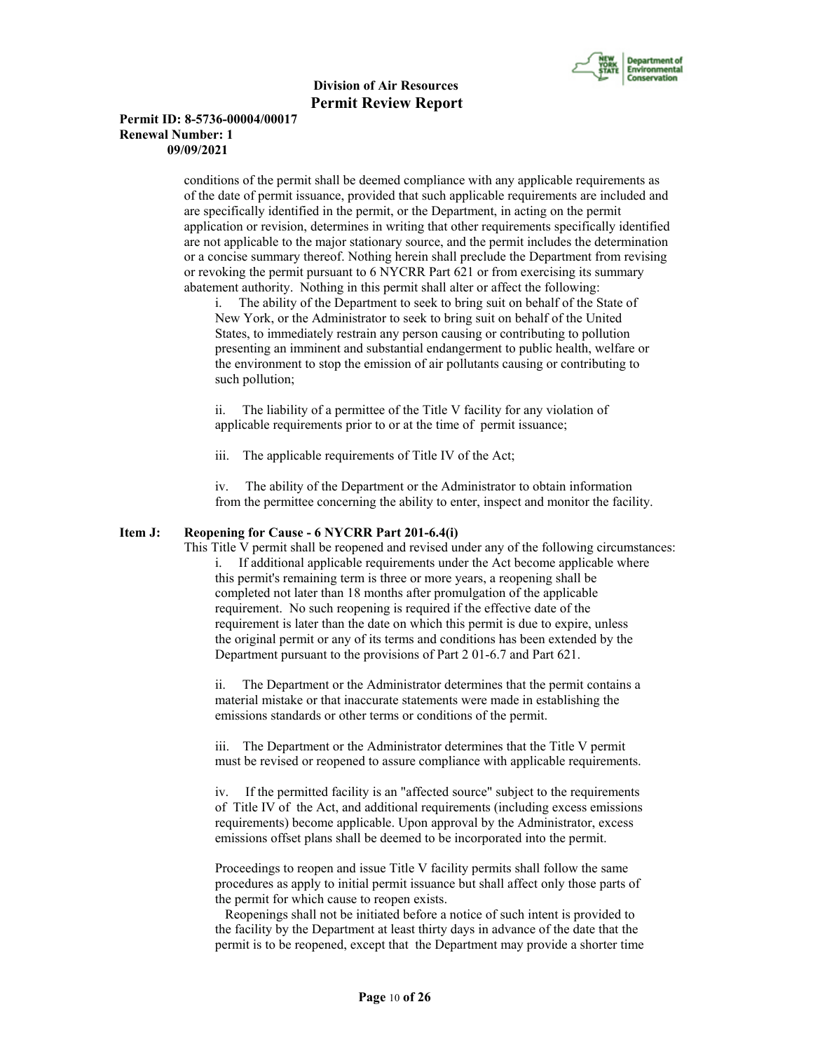

### **Permit ID: 8-5736-00004/00017 Renewal Number: 1 09/09/2021**

 conditions of the permit shall be deemed compliance with any applicable requirements as of the date of permit issuance, provided that such applicable requirements are included and are specifically identified in the permit, or the Department, in acting on the permit application or revision, determines in writing that other requirements specifically identified are not applicable to the major stationary source, and the permit includes the determination or a concise summary thereof. Nothing herein shall preclude the Department from revising or revoking the permit pursuant to 6 NYCRR Part 621 or from exercising its summary abatement authority. Nothing in this permit shall alter or affect the following:

i. The ability of the Department to seek to bring suit on behalf of the State of New York, or the Administrator to seek to bring suit on behalf of the United States, to immediately restrain any person causing or contributing to pollution presenting an imminent and substantial endangerment to public health, welfare or the environment to stop the emission of air pollutants causing or contributing to such pollution;

ii. The liability of a permittee of the Title V facility for any violation of applicable requirements prior to or at the time of permit issuance;

iii. The applicable requirements of Title IV of the Act;

iv. The ability of the Department or the Administrator to obtain information from the permittee concerning the ability to enter, inspect and monitor the facility.

#### **Item J: Reopening for Cause - 6 NYCRR Part 201-6.4(i)**

 This Title V permit shall be reopened and revised under any of the following circumstances: i. If additional applicable requirements under the Act become applicable where this permit's remaining term is three or more years, a reopening shall be completed not later than 18 months after promulgation of the applicable requirement. No such reopening is required if the effective date of the requirement is later than the date on which this permit is due to expire, unless the original permit or any of its terms and conditions has been extended by the Department pursuant to the provisions of Part 2 01-6.7 and Part 621.

ii. The Department or the Administrator determines that the permit contains a material mistake or that inaccurate statements were made in establishing the emissions standards or other terms or conditions of the permit.

iii. The Department or the Administrator determines that the Title V permit must be revised or reopened to assure compliance with applicable requirements.

iv. If the permitted facility is an "affected source" subject to the requirements of Title IV of the Act, and additional requirements (including excess emissions requirements) become applicable. Upon approval by the Administrator, excess emissions offset plans shall be deemed to be incorporated into the permit.

Proceedings to reopen and issue Title V facility permits shall follow the same procedures as apply to initial permit issuance but shall affect only those parts of the permit for which cause to reopen exists.

 Reopenings shall not be initiated before a notice of such intent is provided to the facility by the Department at least thirty days in advance of the date that the permit is to be reopened, except that the Department may provide a shorter time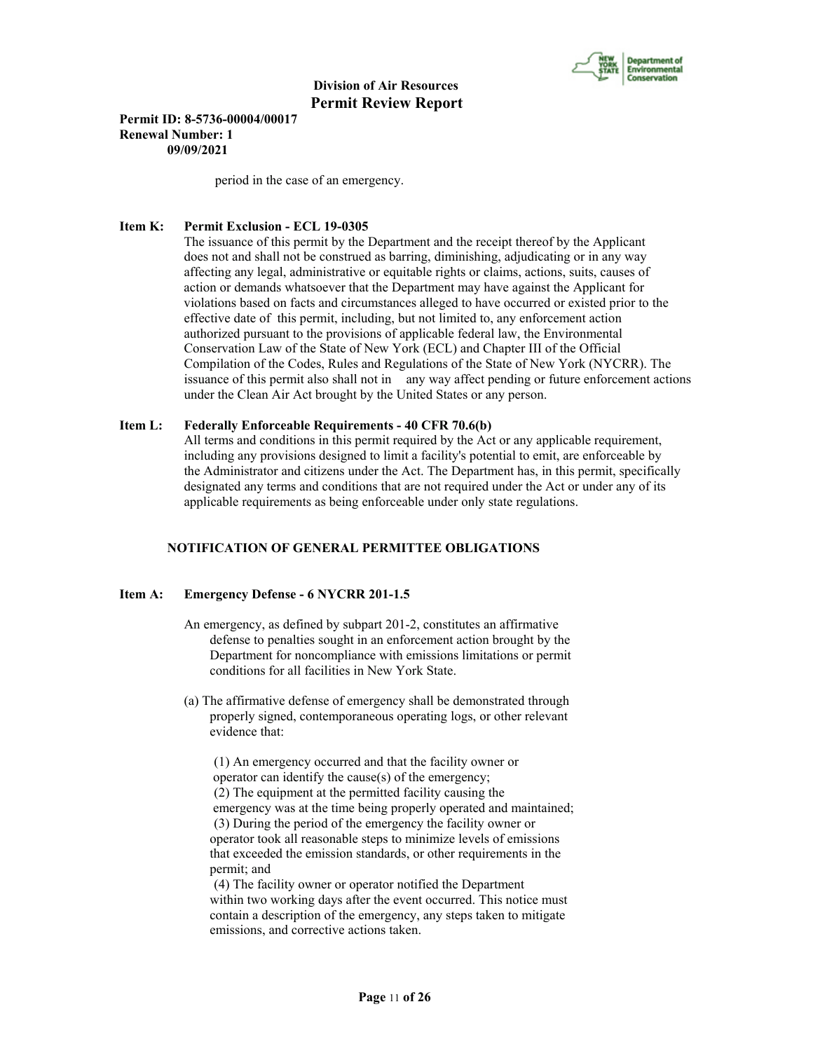

**Permit ID: 8-5736-00004/00017 Renewal Number: 1 09/09/2021**

period in the case of an emergency.

### **Item K: Permit Exclusion - ECL 19-0305**

 The issuance of this permit by the Department and the receipt thereof by the Applicant does not and shall not be construed as barring, diminishing, adjudicating or in any way affecting any legal, administrative or equitable rights or claims, actions, suits, causes of action or demands whatsoever that the Department may have against the Applicant for violations based on facts and circumstances alleged to have occurred or existed prior to the effective date of this permit, including, but not limited to, any enforcement action authorized pursuant to the provisions of applicable federal law, the Environmental Conservation Law of the State of New York (ECL) and Chapter III of the Official Compilation of the Codes, Rules and Regulations of the State of New York (NYCRR). The issuance of this permit also shall not in any way affect pending or future enforcement actions under the Clean Air Act brought by the United States or any person.

#### **Item L: Federally Enforceable Requirements - 40 CFR 70.6(b)**

 All terms and conditions in this permit required by the Act or any applicable requirement, including any provisions designed to limit a facility's potential to emit, are enforceable by the Administrator and citizens under the Act. The Department has, in this permit, specifically designated any terms and conditions that are not required under the Act or under any of its applicable requirements as being enforceable under only state regulations.

# **NOTIFICATION OF GENERAL PERMITTEE OBLIGATIONS**

# **Item A: Emergency Defense - 6 NYCRR 201-1.5**

- An emergency, as defined by subpart 201-2, constitutes an affirmative defense to penalties sought in an enforcement action brought by the Department for noncompliance with emissions limitations or permit conditions for all facilities in New York State.
- (a) The affirmative defense of emergency shall be demonstrated through properly signed, contemporaneous operating logs, or other relevant evidence that:

 (1) An emergency occurred and that the facility owner or operator can identify the cause(s) of the emergency; (2) The equipment at the permitted facility causing the emergency was at the time being properly operated and maintained; (3) During the period of the emergency the facility owner or operator took all reasonable steps to minimize levels of emissions that exceeded the emission standards, or other requirements in the permit; and

 (4) The facility owner or operator notified the Department within two working days after the event occurred. This notice must contain a description of the emergency, any steps taken to mitigate emissions, and corrective actions taken.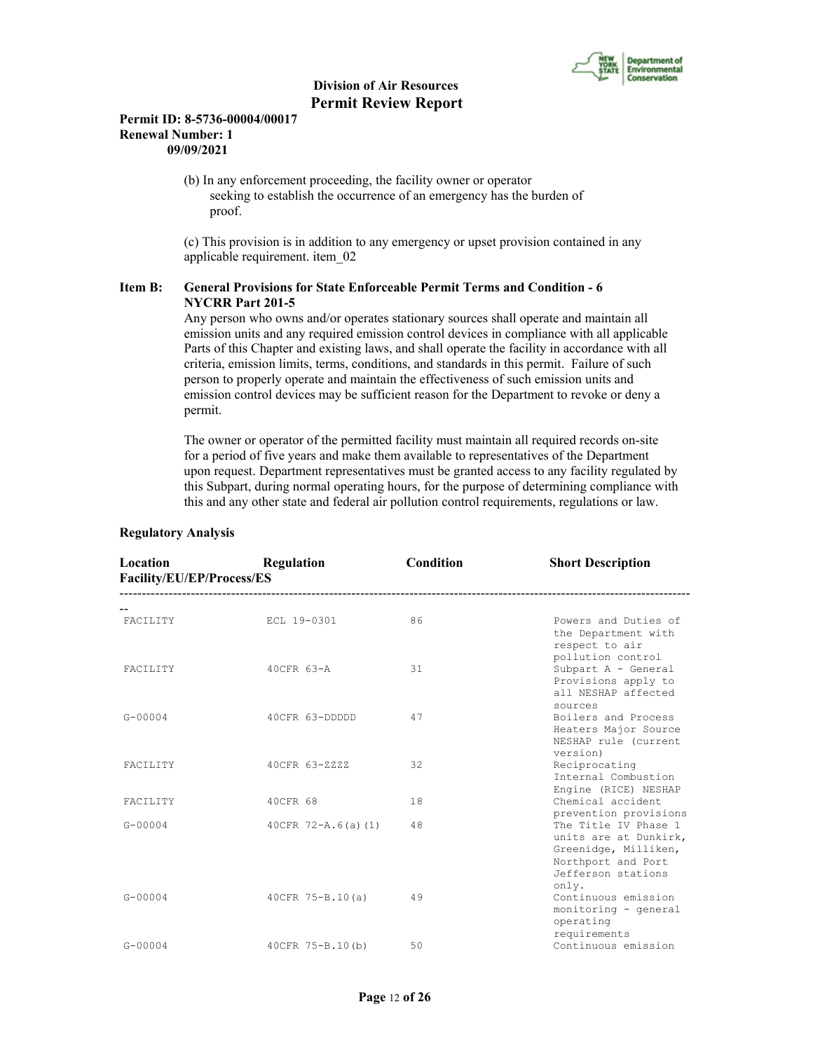

# **Permit ID: 8-5736-00004/00017 Renewal Number: 1 09/09/2021**

 (b) In any enforcement proceeding, the facility owner or operator seeking to establish the occurrence of an emergency has the burden of proof.

 (c) This provision is in addition to any emergency or upset provision contained in any applicable requirement. item\_02

# **Item B: General Provisions for State Enforceable Permit Terms and Condition - 6 NYCRR Part 201-5**

 Any person who owns and/or operates stationary sources shall operate and maintain all emission units and any required emission control devices in compliance with all applicable Parts of this Chapter and existing laws, and shall operate the facility in accordance with all criteria, emission limits, terms, conditions, and standards in this permit. Failure of such person to properly operate and maintain the effectiveness of such emission units and emission control devices may be sufficient reason for the Department to revoke or deny a permit.

 The owner or operator of the permitted facility must maintain all required records on-site for a period of five years and make them available to representatives of the Department upon request. Department representatives must be granted access to any facility regulated by this Subpart, during normal operating hours, for the purpose of determining compliance with this and any other state and federal air pollution control requirements, regulations or law.

| Location<br>Facility/EU/EP/Process/ES | Regulation           | Condition | <b>Short Description</b>                                                                                          |
|---------------------------------------|----------------------|-----------|-------------------------------------------------------------------------------------------------------------------|
| FACILITY                              | ECL 19-0301          | 86        | Powers and Duties of<br>the Department with<br>respect to air                                                     |
| FACILITY                              | 40CFR 63-A           | 31        | pollution control<br>Subpart A - General<br>Provisions apply to<br>all NESHAP affected                            |
| $G - 00004$                           | 40CFR 63-DDDDD       | 47        | sources<br>Boilers and Process<br>Heaters Major Source<br>NESHAP rule (current                                    |
| FACILITY                              | 40CFR 63-ZZZZ        | 32        | version)<br>Reciprocating<br>Internal Combustion<br>Engine (RICE) NESHAP                                          |
| FACILITY                              | 40CFR 68             | 18        | Chemical accident<br>prevention provisions                                                                        |
| $G - 00004$                           | $40CFR$ 72-A.6(a)(1) | 48        | The Title IV Phase 1<br>units are at Dunkirk,<br>Greenidge, Milliken,<br>Northport and Port<br>Jefferson stations |
| $G - 00004$                           | $40CFR 75-B.10(a)$   | 49        | only.<br>Continuous emission<br>monitoring - general<br>operating<br>requirements                                 |
| $G - 00004$                           | 40CFR 75-B.10(b)     | 50        | Continuous emission                                                                                               |

### **Regulatory Analysis**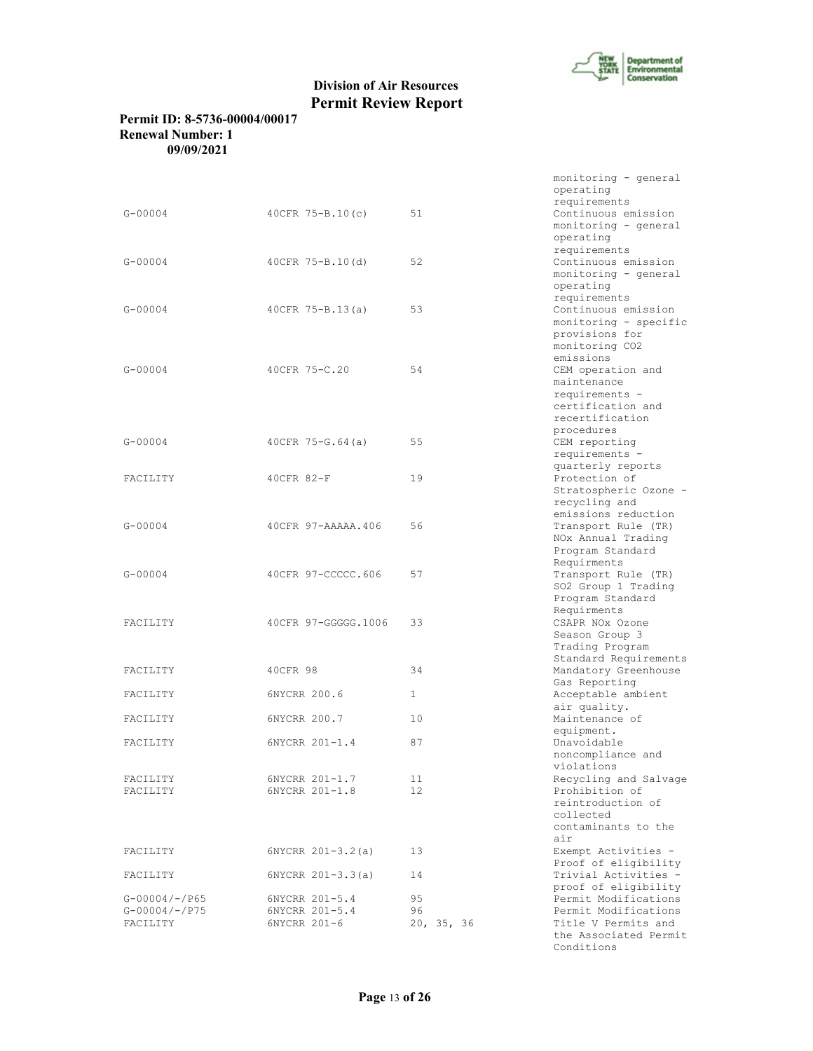

# **Permit ID: 8-5736-00004/00017 Renewal Number: 1 09/09/2021**

|                 |                      |                 | monitoring - general<br>operating<br>requirements                                                        |
|-----------------|----------------------|-----------------|----------------------------------------------------------------------------------------------------------|
| $G - 00004$     | $40CFR$ 75-B.10(c)   | 51              | Continuous emission<br>monitoring - general<br>operating<br>requirements                                 |
| $G - 00004$     | 40CFR 75-B.10(d)     | 52              | Continuous emission<br>monitoring - general<br>operating<br>requirements                                 |
| $G - 00004$     | 40CFR $75 - B.13(a)$ | 53              | Continuous emission<br>monitoring - specific<br>provisions for<br>monitoring CO2<br>emissions            |
| $G - 00004$     | 40CFR 75-C.20        | 54              | CEM operation and<br>maintenance<br>requirements -<br>certification and<br>recertification<br>procedures |
| $G - 00004$     | $40CFR$ 75-G.64(a)   | 55              | CEM reporting<br>requirements -<br>quarterly reports                                                     |
| FACILITY        | 40CFR 82-F           | 19              | Protection of<br>Stratospheric Ozone -<br>recycling and<br>emissions reduction                           |
| $G - 00004$     | 40CFR 97-AAAAA.406   | 56              | Transport Rule (TR)<br>NOx Annual Trading<br>Program Standard<br>Requirments                             |
| $G - 00004$     | 40CFR 97-CCCCC.606   | 57              | Transport Rule (TR)<br>SO2 Group 1 Trading<br>Program Standard<br>Requirments                            |
| FACILITY        | 40CFR 97-GGGGG.1006  | 33              | CSAPR NOx Ozone<br>Season Group 3<br>Trading Program<br>Standard Requirements                            |
| FACILITY        | 40CFR 98             | 34              | Mandatory Greenhouse<br>Gas Reporting                                                                    |
| FACILITY        | 6NYCRR 200.6         | $\mathbf{1}$    | Acceptable ambient<br>air quality.                                                                       |
| FACILITY        | 6NYCRR 200.7         | 10              | Maintenance of                                                                                           |
| FACILITY        | 6NYCRR 201-1.4       | 87              | equipment.<br>Unavoidable<br>noncompliance and<br>violations                                             |
| FACILITY        | 6NYCRR 201-1.7       | 11              | Recycling and Salvage                                                                                    |
| FACILITY        | 6NYCRR 201-1.8       | 12 <sup>2</sup> | Prohibition of<br>reintroduction of<br>collected<br>contaminants to the<br>air                           |
| FACILITY        | $6NYCRR 201-3.2(a)$  | 13              | Exempt Activities -<br>Proof of eligibility                                                              |
| FACILITY        | $6NYCRR 201-3.3(a)$  | 14              | Trivial Activities -<br>proof of eligibility                                                             |
| $G-00004/-/P65$ | 6NYCRR 201-5.4       | 95              | Permit Modifications                                                                                     |
| $G-00004/-/P75$ | 6NYCRR 201-5.4       | 96              | Permit Modifications                                                                                     |
| FACILITY        | 6NYCRR 201-6         | 20, 35, 36      | Title V Permits and<br>the Associated Permit                                                             |
|                 |                      |                 |                                                                                                          |

Conditions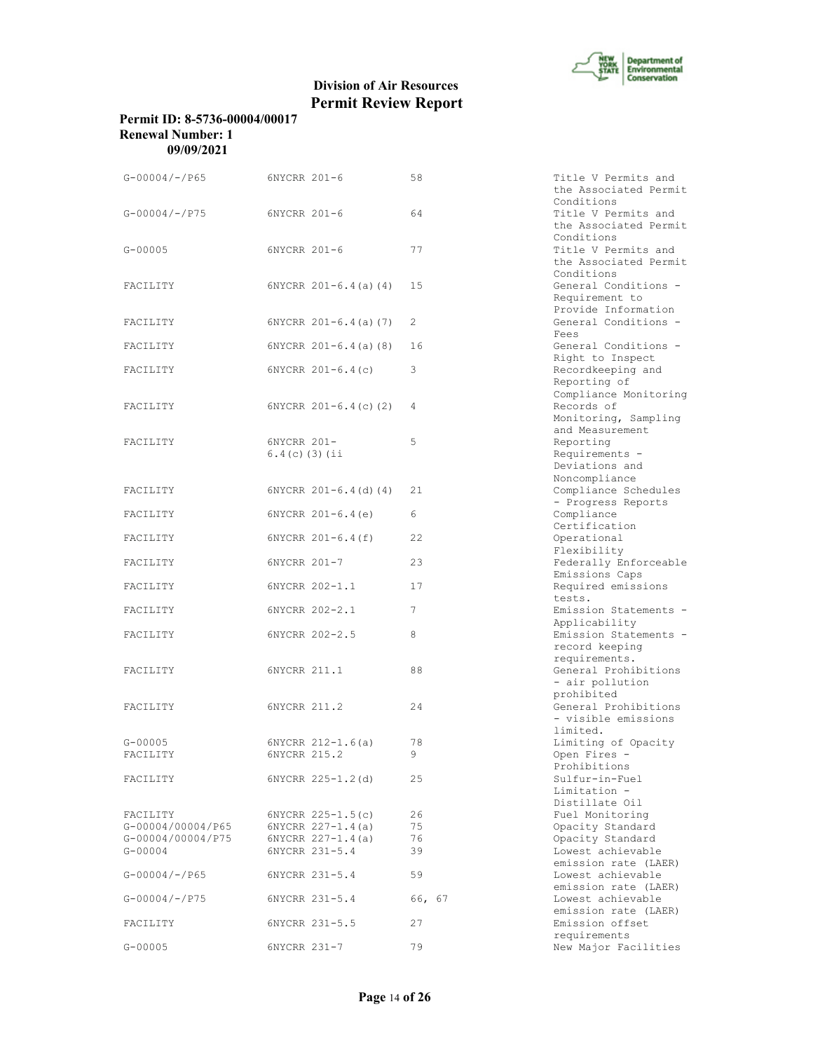

# **Permit ID: 8-5736-00004/00017 Renewal Number: 1 09/09/2021**

| $G-00004/-/P65$                                                   | 6NYCRR 201-6                                                                          | 58                   | Title V Permits and<br>the Associated Permit                                   |
|-------------------------------------------------------------------|---------------------------------------------------------------------------------------|----------------------|--------------------------------------------------------------------------------|
| $G - 00004 / - P75$                                               | 6NYCRR 201-6                                                                          | 64                   | Conditions<br>Title V Permits and<br>the Associated Permit                     |
| $G - 00005$                                                       | 6NYCRR 201-6                                                                          | 77                   | Conditions<br>Title V Permits and<br>the Associated Permit                     |
| FACILITY                                                          | $6NYCRR$ $201-6.4$ (a) (4)                                                            | 15                   | Conditions<br>General Conditions -<br>Requirement to<br>Provide Information    |
| FACILITY                                                          | $6NYCRR 201-6.4(a) (7)$                                                               | 2                    | General Conditions -                                                           |
| FACILITY                                                          | $6NYCRR 201-6.4(a)$ (8)                                                               | 16                   | Fees<br>General Conditions -                                                   |
| FACILITY                                                          | $6NYCRR 201-6.4(c)$                                                                   | 3                    | Right to Inspect<br>Recordkeeping and<br>Reporting of<br>Compliance Monitoring |
| FACILITY                                                          | $6NYCRR 201-6.4(c) (2)$                                                               | 4                    | Records of<br>Monitoring, Sampling                                             |
| FACILITY                                                          | 6NYCRR 201-<br>$6.4(c)$ (3) (ii                                                       | 5                    | and Measurement<br>Reporting<br>Requirements -<br>Deviations and               |
| FACILITY                                                          | $6NYCRR$ $201-6.4$ (d) (4)                                                            | 21                   | Noncompliance<br>Compliance Schedules                                          |
| FACILITY                                                          | $6NYCRR$ $201-6.4(e)$                                                                 | 6                    | - Progress Reports<br>Compliance<br>Certification                              |
| FACILITY                                                          | $6NYCRR 201-6.4(f)$                                                                   | 22                   | Operational                                                                    |
| FACILITY                                                          | 6NYCRR 201-7                                                                          | 23                   | Flexibility<br>Federally Enforceable                                           |
| FACILITY                                                          | 6NYCRR 202-1.1                                                                        | 17                   | Emissions Caps<br>Required emissions                                           |
| FACILITY                                                          | 6NYCRR 202-2.1                                                                        | 7                    | tests.<br>Emission Statements -                                                |
| FACILITY                                                          | 6NYCRR 202-2.5                                                                        | 8                    | Applicability<br>Emission Statements -<br>record keeping                       |
| FACILITY                                                          | 6NYCRR 211.1                                                                          | 88                   | requirements.<br>General Prohibitions<br>- air pollution                       |
| FACILITY                                                          | 6NYCRR 211.2                                                                          | 24                   | prohibited<br>General Prohibitions<br>- visible emissions<br>limited.          |
| $G - 00005$<br>FACILITY                                           | $6NYCRR 212-1.6(a)$<br>6NYCRR 215.2                                                   | 78<br>9              | Limiting of Opacity<br>Open Fires -<br>Prohibitions                            |
| FACILITY                                                          | 6NYCRR 225-1.2(d)                                                                     | 25                   | Sulfur-in-Fuel<br>Limitation -<br>Distillate Oil                               |
| FACILITY<br>G-00004/00004/P65<br>G-00004/00004/P75<br>$G - 00004$ | $6NYCRR$ $225-1.5(c)$<br>$6NYCRR 227-1.4(a)$<br>$6NYCRR 227-1.4(a)$<br>6NYCRR 231-5.4 | 26<br>75<br>76<br>39 | Fuel Monitoring<br>Opacity Standard<br>Opacity Standard<br>Lowest achievable   |
| $G-00004/-/P65$                                                   | 6NYCRR 231-5.4                                                                        | 59                   | emission rate (LAER)<br>Lowest achievable                                      |
| $G-00004/-/P75$                                                   | 6NYCRR 231-5.4                                                                        | 66, 67               | emission rate (LAER)<br>Lowest achievable                                      |
| FACILITY                                                          | 6NYCRR 231-5.5                                                                        | 27                   | emission rate (LAER)<br>Emission offset                                        |
| $G - 00005$                                                       | 6NYCRR 231-7                                                                          | 79                   | requirements<br>New Major Facilities                                           |

| 58        | Title V Permits and<br>the Associated Permit |
|-----------|----------------------------------------------|
| 64        | Conditions<br>Title V Permits and            |
|           | the Associated Permit                        |
|           | Conditions                                   |
| 77        | Title V Permits and                          |
|           | the Associated Permit<br>Conditions          |
| 15        | General Conditions                           |
|           | Requirement to                               |
|           | Provide Information                          |
| 2         | General Conditions -                         |
|           | Fees                                         |
| 16        | General Conditions -<br>Right to Inspect     |
| 3         | Recordkeeping and                            |
|           | Reporting of                                 |
|           | Compliance Monitoring                        |
| 4         | Records of                                   |
|           | Monitoring, Sampling                         |
| 5         | and Measurement<br>Reporting                 |
|           | Requirements -                               |
|           | Deviations and                               |
|           | Noncompliance                                |
| 21        | Compliance Schedules                         |
|           | - Progress Reports                           |
| 6         | Compliance<br>Certification                  |
| 22        | Operational                                  |
|           | Flexibility                                  |
| 23        | Federally Enforceable                        |
|           | Emissions Caps                               |
| 17        | Required emissions                           |
| 7         | tests.<br>Emission Statements                |
|           | Applicability                                |
| 8         | Emission Statements                          |
|           | record keeping                               |
|           | requirements.                                |
| 88        | General Prohibitions                         |
|           | - air pollution<br>prohibited                |
| 24        | General Prohibitions                         |
|           | - visible emissions                          |
|           | limited.                                     |
| 78        | Limiting of Opacity                          |
| 9         | Open Fires -<br>Prohibitions                 |
| 25        | Sulfur-in-Fuel                               |
|           | Limitation -                                 |
|           | Distillate Oil                               |
| 26        | Fuel Monitoring                              |
| 75        | Opacity Standard                             |
| 76<br>39  | Opacity Standard<br>Lowest achievable        |
|           | emission rate (LAER)                         |
| 59        | Lowest achievable                            |
|           | emission rate (LAER)                         |
| 66,<br>67 | Lowest achievable                            |
|           | emission rate (LAER)                         |
| 27        | Emission offset                              |
| 79        | requirements<br>New Major Facilities         |
|           |                                              |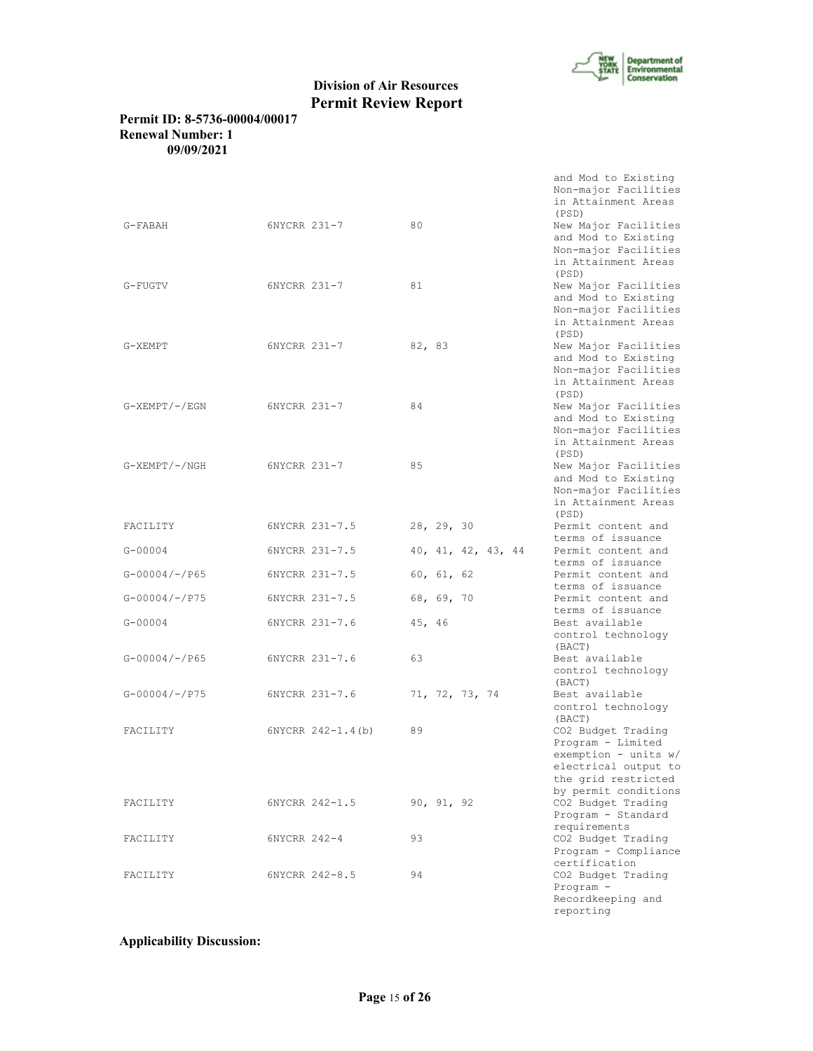

# **Permit ID: 8-5736-00004/00017 Renewal Number: 1 09/09/2021**

|                          |                     |                    | and Mod to Existing<br>Non-major Facilities<br>in Attainment Areas<br>(PSD)                                                              |
|--------------------------|---------------------|--------------------|------------------------------------------------------------------------------------------------------------------------------------------|
| G-FABAH                  | 6NYCRR 231-7        | 80                 | New Major Facilities<br>and Mod to Existing<br>Non-major Facilities<br>in Attainment Areas<br>(PSD)                                      |
| G-FUGTV                  | 6NYCRR 231-7        | 81                 | New Major Facilities<br>and Mod to Existing<br>Non-major Facilities<br>in Attainment Areas<br>(PSD)                                      |
| G-XEMPT                  | 6NYCRR 231-7        | 82, 83             | New Major Facilities<br>and Mod to Existing<br>Non-major Facilities<br>in Attainment Areas<br>(PSD)                                      |
| $G-$ XEMPT $/$ - $/$ EGN | 6NYCRR 231-7        | 84                 | New Major Facilities<br>and Mod to Existing<br>Non-major Facilities<br>in Attainment Areas<br>(PSD)                                      |
| G-XEMPT/-/NGH            | 6NYCRR 231-7        | 85                 | New Major Facilities<br>and Mod to Existing<br>Non-major Facilities<br>in Attainment Areas                                               |
| FACILITY                 | 6NYCRR 231-7.5      | 28, 29, 30         | (PSD)<br>Permit content and<br>terms of issuance                                                                                         |
| $G - 00004$              | 6NYCRR 231-7.5      | 40, 41, 42, 43, 44 | Permit content and<br>terms of issuance                                                                                                  |
| $G - 00004 / - P65$      | 6NYCRR 231-7.5      | 60, 61, 62         | Permit content and<br>terms of issuance                                                                                                  |
| $G-00004/-/P75$          | 6NYCRR 231-7.5      | 68, 69, 70         | Permit content and<br>terms of issuance                                                                                                  |
| $G - 00004$              | 6NYCRR 231-7.6      | 45, 46             | Best available<br>control technology<br>(BACT)                                                                                           |
| $G-00004/-/P65$          | 6NYCRR 231-7.6      | 63                 | Best available<br>control technology<br>(BACT)                                                                                           |
| $G - 00004 / - P75$      | 6NYCRR 231-7.6      | 71, 72, 73, 74     | Best available<br>control technology<br>(BACT)                                                                                           |
| FACILITY                 | $6NYCRR 242-1.4(b)$ | 89                 | CO2 Budget Trading<br>Program - Limited<br>exemption - units $w/$<br>electrical output to<br>the grid restricted<br>by permit conditions |
| FACILITY                 | 6NYCRR 242-1.5      | 90, 91, 92         | CO2 Budget Trading<br>Program - Standard<br>requirements                                                                                 |
| FACILITY                 | 6NYCRR 242-4        | 93                 | CO2 Budget Trading<br>Program - Compliance<br>certification                                                                              |
| FACILITY                 | 6NYCRR 242-8.5      | 94                 | CO2 Budget Trading<br>$Program -$<br>Recordkeeping and<br>reporting                                                                      |

# **Applicability Discussion:**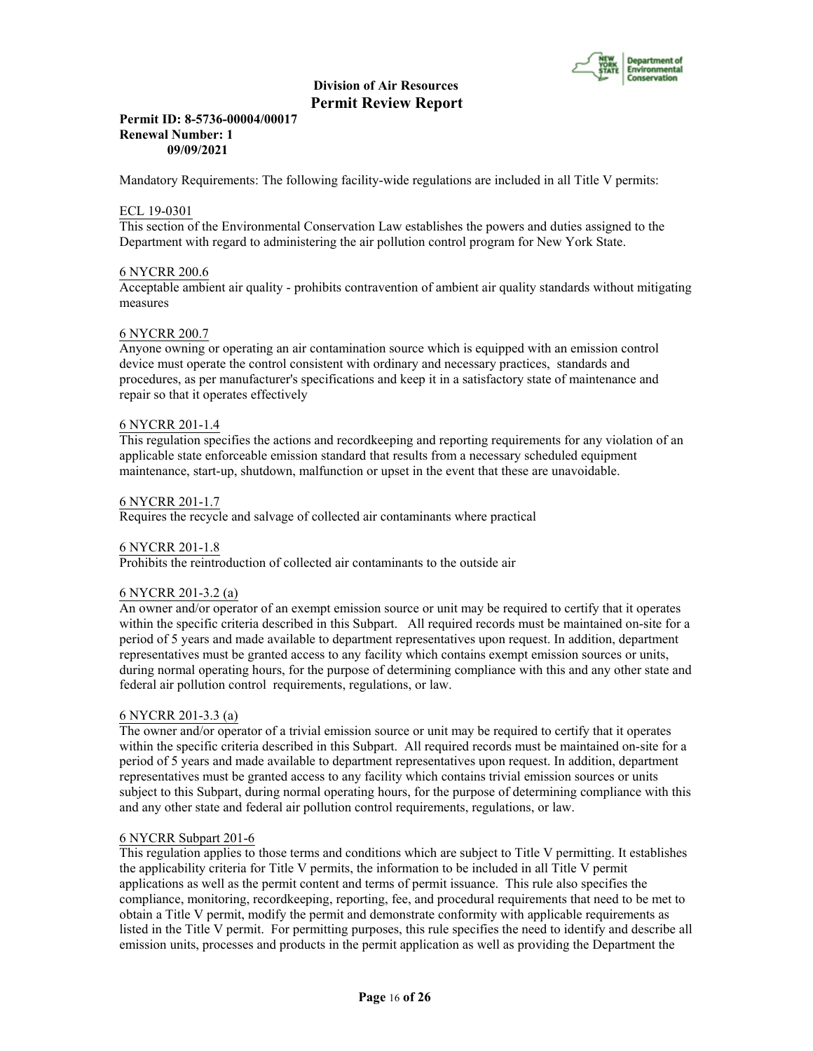

#### **Permit ID: 8-5736-00004/00017 Renewal Number: 1 09/09/2021**

Mandatory Requirements: The following facility-wide regulations are included in all Title V permits:

### ECL 19-0301

This section of the Environmental Conservation Law establishes the powers and duties assigned to the Department with regard to administering the air pollution control program for New York State.

#### 6 NYCRR 200.6

Acceptable ambient air quality - prohibits contravention of ambient air quality standards without mitigating measures

# 6 NYCRR 200.7

Anyone owning or operating an air contamination source which is equipped with an emission control device must operate the control consistent with ordinary and necessary practices, standards and procedures, as per manufacturer's specifications and keep it in a satisfactory state of maintenance and repair so that it operates effectively

#### 6 NYCRR 201-1.4

This regulation specifies the actions and recordkeeping and reporting requirements for any violation of an applicable state enforceable emission standard that results from a necessary scheduled equipment maintenance, start-up, shutdown, malfunction or upset in the event that these are unavoidable.

#### 6 NYCRR 201-1.7

Requires the recycle and salvage of collected air contaminants where practical

#### 6 NYCRR 201-1.8

Prohibits the reintroduction of collected air contaminants to the outside air

#### 6 NYCRR 201-3.2 (a)

An owner and/or operator of an exempt emission source or unit may be required to certify that it operates within the specific criteria described in this Subpart. All required records must be maintained on-site for a period of 5 years and made available to department representatives upon request. In addition, department representatives must be granted access to any facility which contains exempt emission sources or units, during normal operating hours, for the purpose of determining compliance with this and any other state and federal air pollution control requirements, regulations, or law.

#### 6 NYCRR 201-3.3 (a)

The owner and/or operator of a trivial emission source or unit may be required to certify that it operates within the specific criteria described in this Subpart. All required records must be maintained on-site for a period of 5 years and made available to department representatives upon request. In addition, department representatives must be granted access to any facility which contains trivial emission sources or units subject to this Subpart, during normal operating hours, for the purpose of determining compliance with this and any other state and federal air pollution control requirements, regulations, or law.

#### 6 NYCRR Subpart 201-6

This regulation applies to those terms and conditions which are subject to Title V permitting. It establishes the applicability criteria for Title V permits, the information to be included in all Title V permit applications as well as the permit content and terms of permit issuance. This rule also specifies the compliance, monitoring, recordkeeping, reporting, fee, and procedural requirements that need to be met to obtain a Title V permit, modify the permit and demonstrate conformity with applicable requirements as listed in the Title V permit. For permitting purposes, this rule specifies the need to identify and describe all emission units, processes and products in the permit application as well as providing the Department the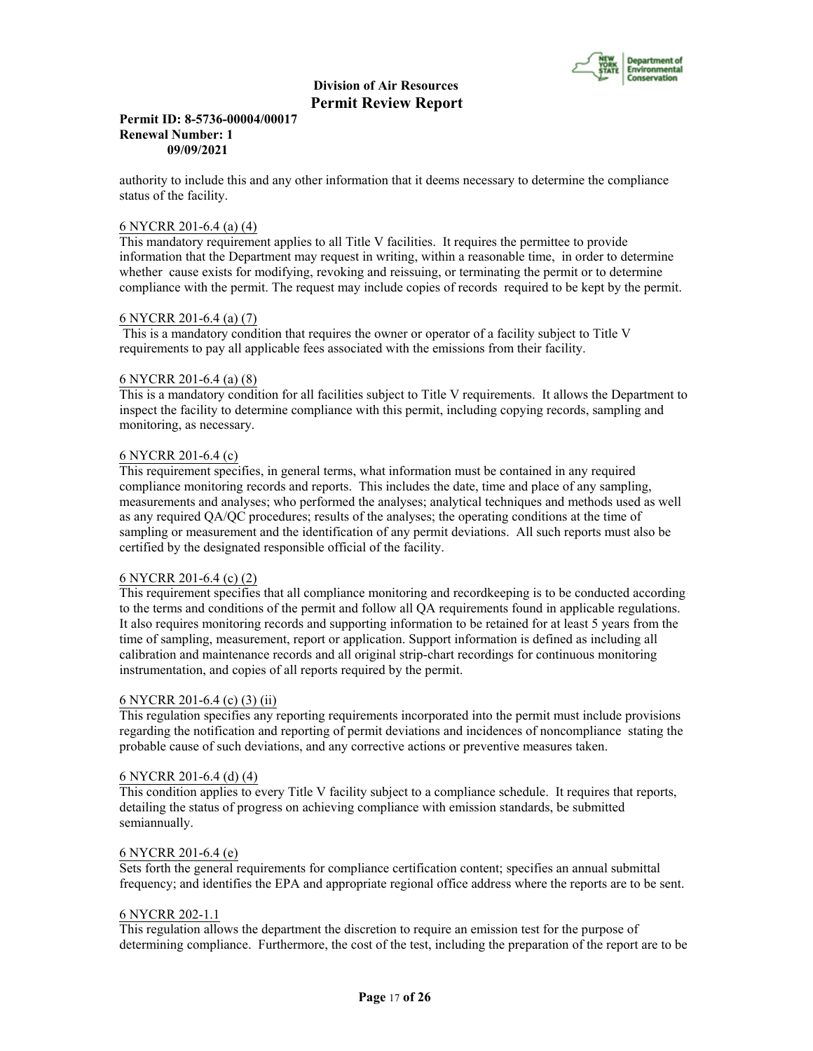

#### **Permit ID: 8-5736-00004/00017 Renewal Number: 1 09/09/2021**

authority to include this and any other information that it deems necessary to determine the compliance status of the facility.

# 6 NYCRR 201-6.4 (a) (4)

This mandatory requirement applies to all Title V facilities. It requires the permittee to provide information that the Department may request in writing, within a reasonable time, in order to determine whether cause exists for modifying, revoking and reissuing, or terminating the permit or to determine compliance with the permit. The request may include copies of records required to be kept by the permit.

#### 6 NYCRR 201-6.4 (a) (7)

 This is a mandatory condition that requires the owner or operator of a facility subject to Title V requirements to pay all applicable fees associated with the emissions from their facility.

## 6 NYCRR 201-6.4 (a) (8)

This is a mandatory condition for all facilities subject to Title V requirements. It allows the Department to inspect the facility to determine compliance with this permit, including copying records, sampling and monitoring, as necessary.

#### 6 NYCRR 201-6.4 (c)

This requirement specifies, in general terms, what information must be contained in any required compliance monitoring records and reports. This includes the date, time and place of any sampling, measurements and analyses; who performed the analyses; analytical techniques and methods used as well as any required QA/QC procedures; results of the analyses; the operating conditions at the time of sampling or measurement and the identification of any permit deviations. All such reports must also be certified by the designated responsible official of the facility.

#### 6 NYCRR 201-6.4 (c) (2)

This requirement specifies that all compliance monitoring and recordkeeping is to be conducted according to the terms and conditions of the permit and follow all QA requirements found in applicable regulations. It also requires monitoring records and supporting information to be retained for at least 5 years from the time of sampling, measurement, report or application. Support information is defined as including all calibration and maintenance records and all original strip-chart recordings for continuous monitoring instrumentation, and copies of all reports required by the permit.

#### 6 NYCRR 201-6.4 (c) (3) (ii)

This regulation specifies any reporting requirements incorporated into the permit must include provisions regarding the notification and reporting of permit deviations and incidences of noncompliance stating the probable cause of such deviations, and any corrective actions or preventive measures taken.

#### 6 NYCRR 201-6.4 (d) (4)

This condition applies to every Title V facility subject to a compliance schedule. It requires that reports, detailing the status of progress on achieving compliance with emission standards, be submitted semiannually.

#### 6 NYCRR 201-6.4 (e)

Sets forth the general requirements for compliance certification content; specifies an annual submittal frequency; and identifies the EPA and appropriate regional office address where the reports are to be sent.

#### 6 NYCRR 202-1.1

This regulation allows the department the discretion to require an emission test for the purpose of determining compliance. Furthermore, the cost of the test, including the preparation of the report are to be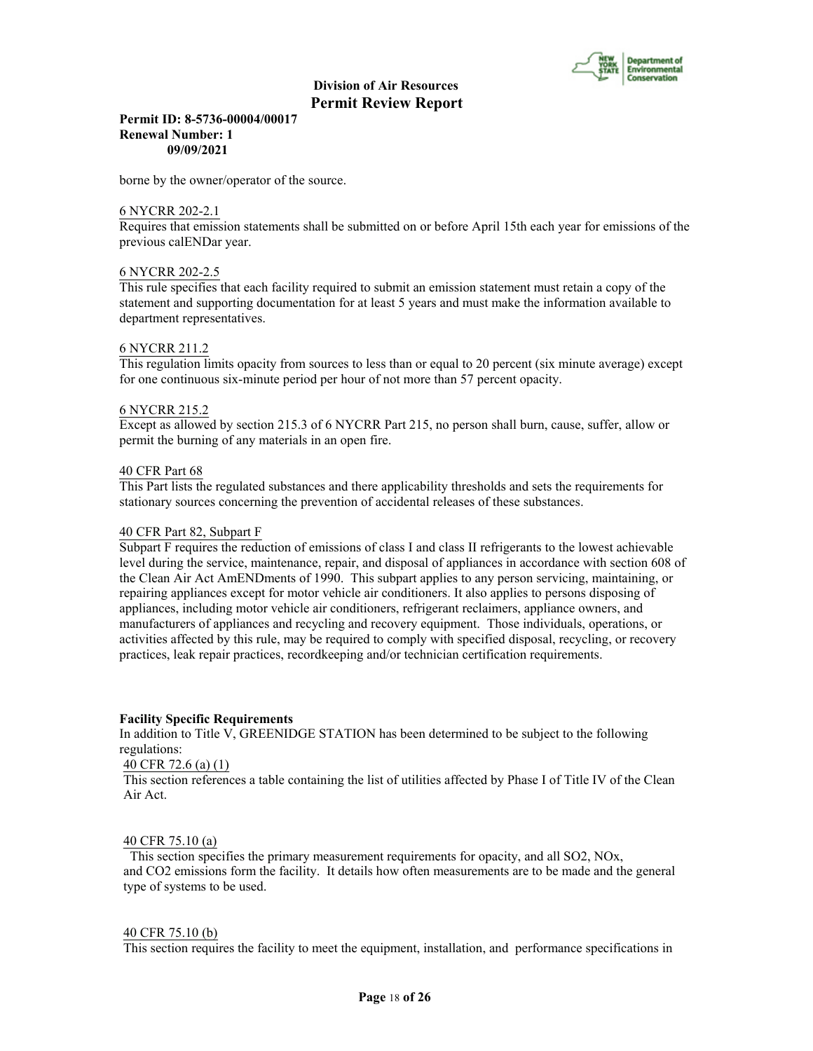

# **Permit ID: 8-5736-00004/00017 Renewal Number: 1 09/09/2021**

borne by the owner/operator of the source.

#### 6 NYCRR 202-2.1

Requires that emission statements shall be submitted on or before April 15th each year for emissions of the previous calENDar year.

#### 6 NYCRR 202-2.5

This rule specifies that each facility required to submit an emission statement must retain a copy of the statement and supporting documentation for at least 5 years and must make the information available to department representatives.

#### 6 NYCRR 211.2

This regulation limits opacity from sources to less than or equal to 20 percent (six minute average) except for one continuous six-minute period per hour of not more than 57 percent opacity.

#### 6 NYCRR 215.2

Except as allowed by section 215.3 of 6 NYCRR Part 215, no person shall burn, cause, suffer, allow or permit the burning of any materials in an open fire.

#### 40 CFR Part 68

This Part lists the regulated substances and there applicability thresholds and sets the requirements for stationary sources concerning the prevention of accidental releases of these substances.

#### 40 CFR Part 82, Subpart F

Subpart F requires the reduction of emissions of class I and class II refrigerants to the lowest achievable level during the service, maintenance, repair, and disposal of appliances in accordance with section 608 of the Clean Air Act AmENDments of 1990. This subpart applies to any person servicing, maintaining, or repairing appliances except for motor vehicle air conditioners. It also applies to persons disposing of appliances, including motor vehicle air conditioners, refrigerant reclaimers, appliance owners, and manufacturers of appliances and recycling and recovery equipment. Those individuals, operations, or activities affected by this rule, may be required to comply with specified disposal, recycling, or recovery practices, leak repair practices, recordkeeping and/or technician certification requirements.

#### **Facility Specific Requirements**

In addition to Title V, GREENIDGE STATION has been determined to be subject to the following regulations:

# 40 CFR 72.6 (a) (1)

This section references a table containing the list of utilities affected by Phase I of Title IV of the Clean Air Act.

#### 40 CFR 75.10 (a)

 This section specifies the primary measurement requirements for opacity, and all SO2, NOx, and CO2 emissions form the facility. It details how often measurements are to be made and the general type of systems to be used.

#### 40 CFR 75.10 (b)

This section requires the facility to meet the equipment, installation, and performance specifications in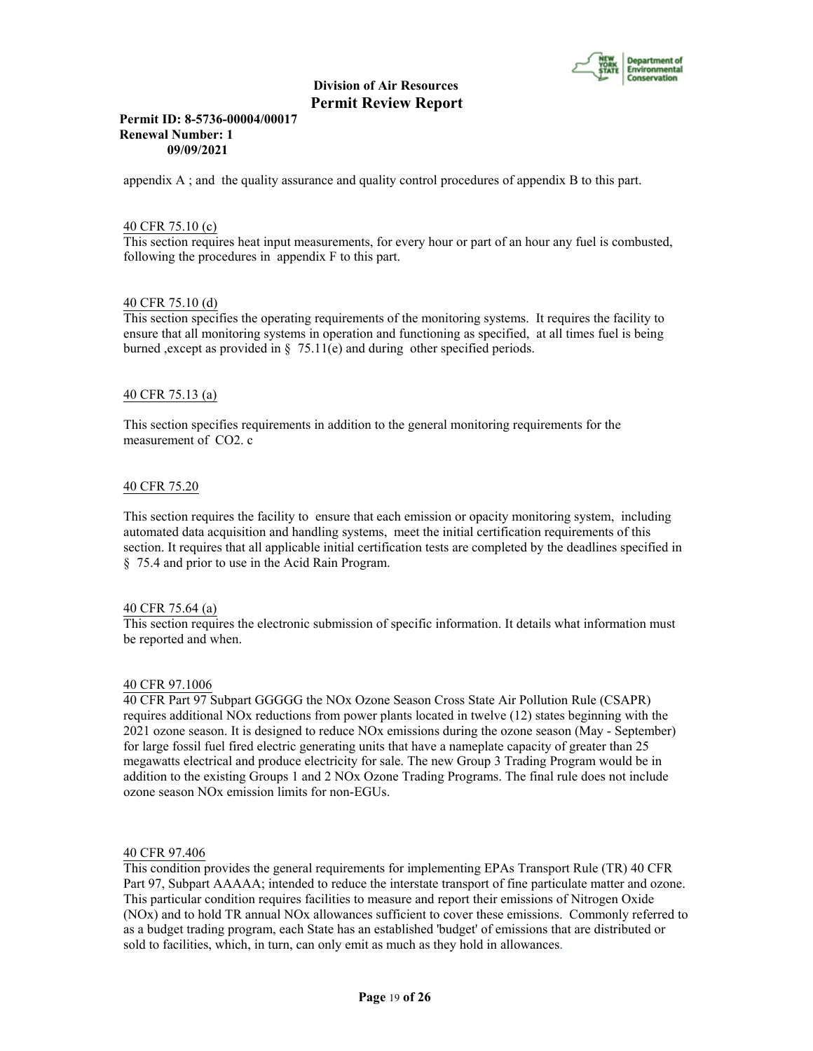

# **Permit ID: 8-5736-00004/00017 Renewal Number: 1 09/09/2021**

appendix A ; and the quality assurance and quality control procedures of appendix B to this part.

# 40 CFR 75.10 (c)

This section requires heat input measurements, for every hour or part of an hour any fuel is combusted, following the procedures in appendix F to this part.

# 40 CFR 75.10 (d)

This section specifies the operating requirements of the monitoring systems. It requires the facility to ensure that all monitoring systems in operation and functioning as specified, at all times fuel is being burned ,except as provided in § 75.11(e) and during other specified periods.

# 40 CFR 75.13 (a)

This section specifies requirements in addition to the general monitoring requirements for the measurement of CO2. c

#### 40 CFR 75.20

This section requires the facility to ensure that each emission or opacity monitoring system, including automated data acquisition and handling systems, meet the initial certification requirements of this section. It requires that all applicable initial certification tests are completed by the deadlines specified in § 75.4 and prior to use in the Acid Rain Program.

#### 40 CFR 75.64 (a)

This section requires the electronic submission of specific information. It details what information must be reported and when.

#### 40 CFR 97.1006

40 CFR Part 97 Subpart GGGGG the NOx Ozone Season Cross State Air Pollution Rule (CSAPR) requires additional NOx reductions from power plants located in twelve (12) states beginning with the 2021 ozone season. It is designed to reduce NOx emissions during the ozone season (May - September) for large fossil fuel fired electric generating units that have a nameplate capacity of greater than 25 megawatts electrical and produce electricity for sale. The new Group 3 Trading Program would be in addition to the existing Groups 1 and 2 NOx Ozone Trading Programs. The final rule does not include ozone season NOx emission limits for non-EGUs.

### 40 CFR 97.406

This condition provides the general requirements for implementing EPAs Transport Rule (TR) 40 CFR Part 97, Subpart AAAAA; intended to reduce the interstate transport of fine particulate matter and ozone. This particular condition requires facilities to measure and report their emissions of Nitrogen Oxide (NOx) and to hold TR annual NOx allowances sufficient to cover these emissions. Commonly referred to as a budget trading program, each State has an established 'budget' of emissions that are distributed or sold to facilities, which, in turn, can only emit as much as they hold in allowances.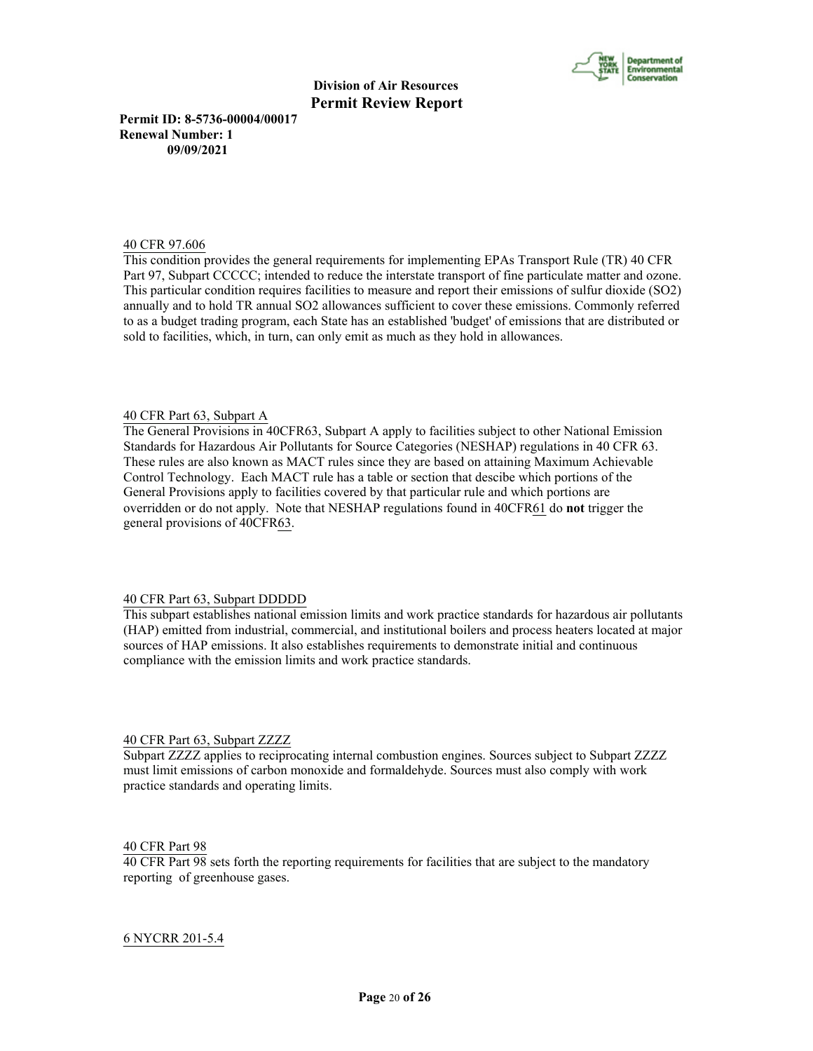

**Permit ID: 8-5736-00004/00017 Renewal Number: 1 09/09/2021**

#### 40 CFR 97.606

This condition provides the general requirements for implementing EPAs Transport Rule (TR) 40 CFR Part 97, Subpart CCCCC; intended to reduce the interstate transport of fine particulate matter and ozone. This particular condition requires facilities to measure and report their emissions of sulfur dioxide (SO2) annually and to hold TR annual SO2 allowances sufficient to cover these emissions. Commonly referred to as a budget trading program, each State has an established 'budget' of emissions that are distributed or sold to facilities, which, in turn, can only emit as much as they hold in allowances.

#### 40 CFR Part 63, Subpart A

The General Provisions in 40CFR63, Subpart A apply to facilities subject to other National Emission Standards for Hazardous Air Pollutants for Source Categories (NESHAP) regulations in 40 CFR 63. These rules are also known as MACT rules since they are based on attaining Maximum Achievable Control Technology. Each MACT rule has a table or section that descibe which portions of the General Provisions apply to facilities covered by that particular rule and which portions are overridden or do not apply. Note that NESHAP regulations found in 40CFR61 do **not** trigger the general provisions of 40CFR63.

#### 40 CFR Part 63, Subpart DDDDD

This subpart establishes national emission limits and work practice standards for hazardous air pollutants (HAP) emitted from industrial, commercial, and institutional boilers and process heaters located at major sources of HAP emissions. It also establishes requirements to demonstrate initial and continuous compliance with the emission limits and work practice standards.

#### 40 CFR Part 63, Subpart ZZZZ

Subpart ZZZZ applies to reciprocating internal combustion engines. Sources subject to Subpart ZZZZ must limit emissions of carbon monoxide and formaldehyde. Sources must also comply with work practice standards and operating limits.

#### 40 CFR Part 98

40 CFR Part 98 sets forth the reporting requirements for facilities that are subject to the mandatory reporting of greenhouse gases.

#### 6 NYCRR 201-5.4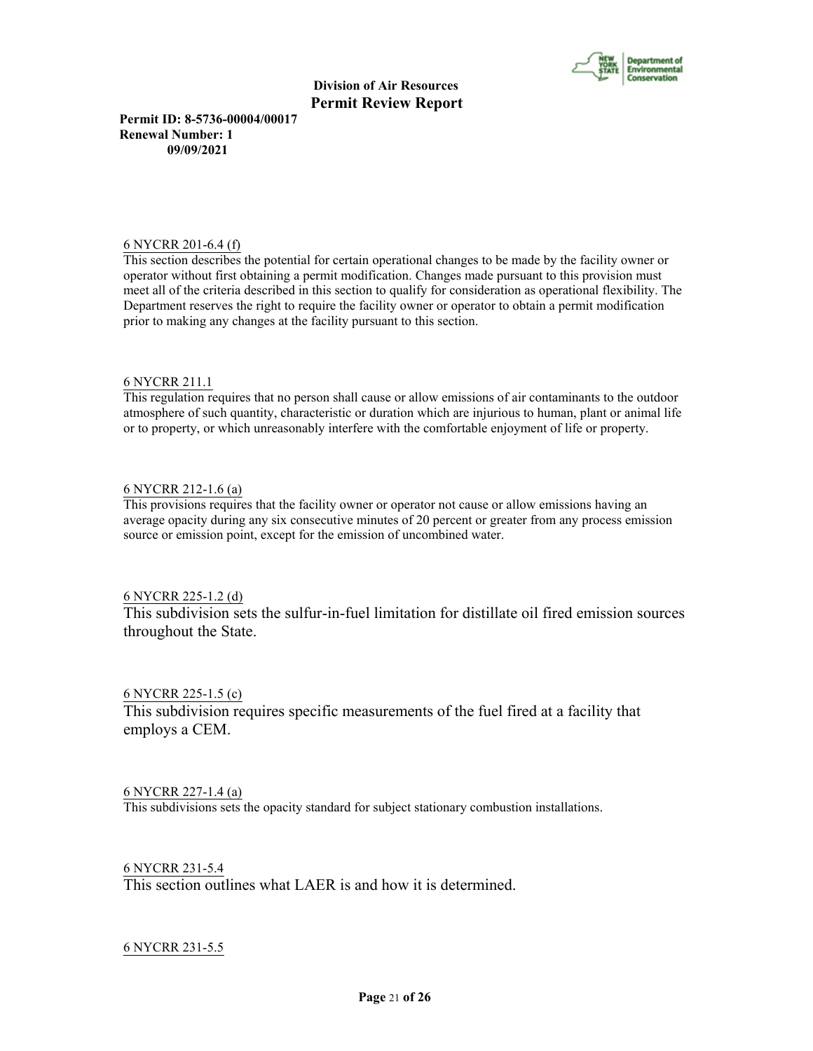

**Permit ID: 8-5736-00004/00017 Renewal Number: 1 09/09/2021**

#### 6 NYCRR 201-6.4 (f)

This section describes the potential for certain operational changes to be made by the facility owner or operator without first obtaining a permit modification. Changes made pursuant to this provision must meet all of the criteria described in this section to qualify for consideration as operational flexibility. The Department reserves the right to require the facility owner or operator to obtain a permit modification prior to making any changes at the facility pursuant to this section.

# 6 NYCRR 211.1

This regulation requires that no person shall cause or allow emissions of air contaminants to the outdoor atmosphere of such quantity, characteristic or duration which are injurious to human, plant or animal life or to property, or which unreasonably interfere with the comfortable enjoyment of life or property.

# 6 NYCRR 212-1.6 (a)

This provisions requires that the facility owner or operator not cause or allow emissions having an average opacity during any six consecutive minutes of 20 percent or greater from any process emission source or emission point, except for the emission of uncombined water.

# 6 NYCRR 225-1.2 (d)

This subdivision sets the sulfur-in-fuel limitation for distillate oil fired emission sources throughout the State.

# 6 NYCRR 225-1.5 (c)

This subdivision requires specific measurements of the fuel fired at a facility that employs a CEM.

# 6 NYCRR 227-1.4 (a)

This subdivisions sets the opacity standard for subject stationary combustion installations.

6 NYCRR 231-5.4 This section outlines what LAER is and how it is determined.

# 6 NYCRR 231-5.5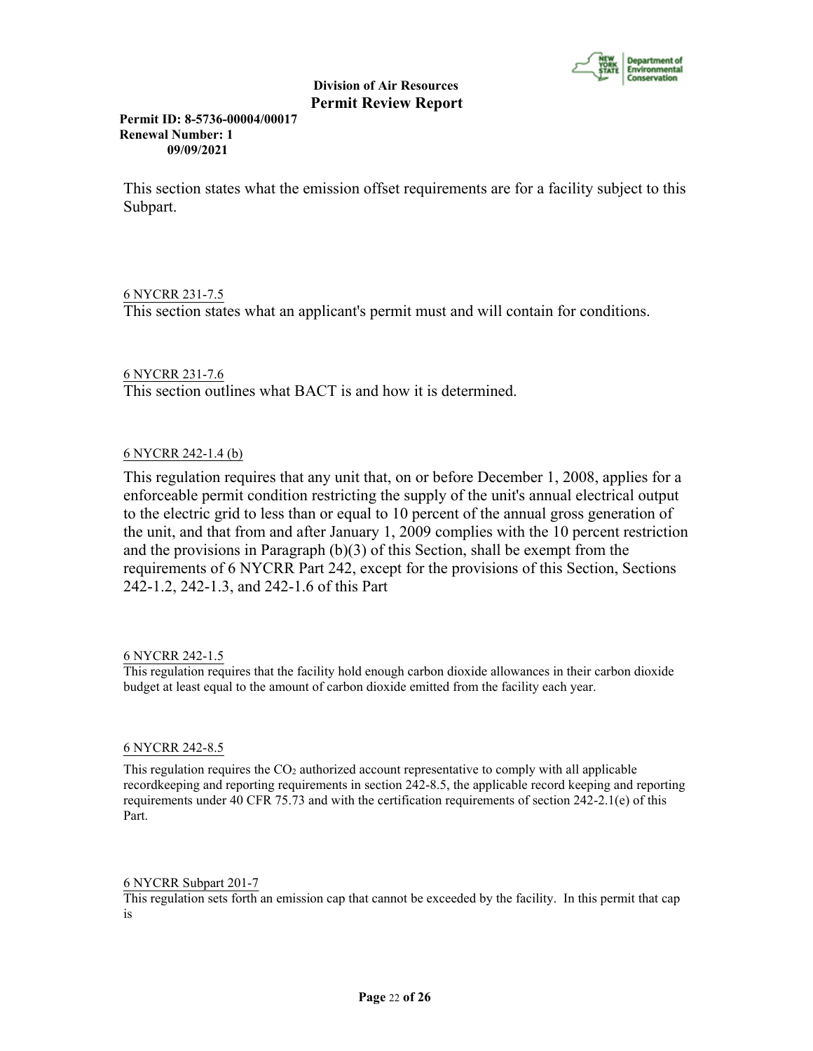

**Permit ID: 8-5736-00004/00017 Renewal Number: 1 09/09/2021**

This section states what the emission offset requirements are for a facility subject to this Subpart.

# 6 NYCRR 231-7.5

This section states what an applicant's permit must and will contain for conditions.

# 6 NYCRR 231-7.6

This section outlines what BACT is and how it is determined.

# 6 NYCRR 242-1.4 (b)

This regulation requires that any unit that, on or before December 1, 2008, applies for a enforceable permit condition restricting the supply of the unit's annual electrical output to the electric grid to less than or equal to 10 percent of the annual gross generation of the unit, and that from and after January 1, 2009 complies with the 10 percent restriction and the provisions in Paragraph (b)(3) of this Section, shall be exempt from the requirements of 6 NYCRR Part 242, except for the provisions of this Section, Sections 242-1.2, 242-1.3, and 242-1.6 of this Part

# 6 NYCRR 242-1.5

This regulation requires that the facility hold enough carbon dioxide allowances in their carbon dioxide budget at least equal to the amount of carbon dioxide emitted from the facility each year.

# 6 NYCRR 242-8.5

This regulation requires the  $CO<sub>2</sub>$  authorized account representative to comply with all applicable recordkeeping and reporting requirements in section 242-8.5, the applicable record keeping and reporting requirements under 40 CFR 75.73 and with the certification requirements of section 242-2.1(e) of this Part.

# 6 NYCRR Subpart 201-7

This regulation sets forth an emission cap that cannot be exceeded by the facility. In this permit that cap is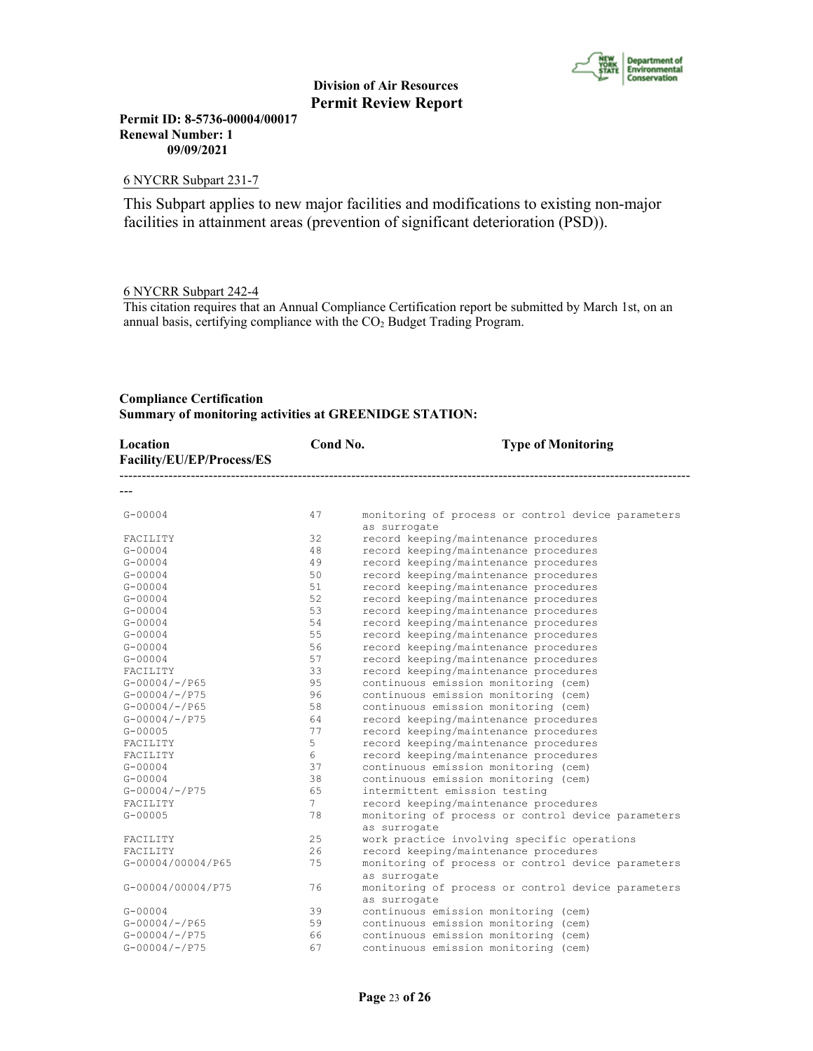

**Permit ID: 8-5736-00004/00017 Renewal Number: 1 09/09/2021**

#### 6 NYCRR Subpart 231-7

This Subpart applies to new major facilities and modifications to existing non-major facilities in attainment areas (prevention of significant deterioration (PSD)).

# 6 NYCRR Subpart 242-4

This citation requires that an Annual Compliance Certification report be submitted by March 1st, on an annual basis, certifying compliance with the CO2 Budget Trading Program.

# **Compliance Certification Summary of monitoring activities at GREENIDGE STATION:**

| Location<br>Facility/EU/EP/Process/ES | Cond No.       | <b>Type of Monitoring</b>                                          |
|---------------------------------------|----------------|--------------------------------------------------------------------|
|                                       |                |                                                                    |
| $G - 00004$                           | 47             | monitoring of process or control device parameters<br>as surrogate |
| FACILITY                              | 32             | record keeping/maintenance procedures                              |
| $G - 00004$                           | 48             | record keeping/maintenance procedures                              |
| $G - 00004$                           | 49             | record keeping/maintenance procedures                              |
| $G - 00004$                           | 50             | record keeping/maintenance procedures                              |
| $G - 00004$                           | 51             | record keeping/maintenance procedures                              |
| $G - 00004$                           | 52             | record keeping/maintenance procedures                              |
| $G - 00004$                           | 53             | record keeping/maintenance procedures                              |
| $G - 00004$                           | 54             | record keeping/maintenance procedures                              |
| $G - 00004$                           | 55             | record keeping/maintenance procedures                              |
| $G - 00004$                           | 56             | record keeping/maintenance procedures                              |
| $G - 00004$                           | 57             | record keeping/maintenance procedures                              |
| FACILITY                              | 33             | record keeping/maintenance procedures                              |
| $G-00004/-/P65$                       | 95             | continuous emission monitoring (cem)                               |
| $G-00004/-/P75$                       | 96             | continuous emission monitoring (cem)                               |
| $G - 00004 / - P65$                   | 58             | continuous emission monitoring (cem)                               |
| $G-00004/-/P75$                       | 64             | record keeping/maintenance procedures                              |
| $G - 00005$                           | 77             | record keeping/maintenance procedures                              |
| FACILITY                              | 5.             | record keeping/maintenance procedures                              |
| FACILITY                              | 6              | record keeping/maintenance procedures                              |
| $G - 00004$                           | 37             | continuous emission monitoring (cem)                               |
| $G - 00004$                           | 38             | continuous emission monitoring (cem)                               |
| $G - 00004 / - P75$                   | 65             | intermittent emission testing                                      |
| FACILITY                              | 7 <sup>7</sup> | record keeping/maintenance procedures                              |
| $G - 00005$                           | 78             | monitoring of process or control device parameters<br>as surrogate |
| FACILITY                              | 25             | work practice involving specific operations                        |
| FACILITY                              | 26             | record keeping/maintenance procedures                              |
| G-00004/00004/P65                     | 75             | monitoring of process or control device parameters<br>as surrogate |
| G-00004/00004/P75                     | 76             | monitoring of process or control device parameters<br>as surrogate |
| $G - 00004$                           | 39             | continuous emission monitoring (cem)                               |
| $G - 00004 / - 965$                   | 59             | continuous emission monitoring (cem)                               |
| $G - 00004 / - P75$                   | 66             | continuous emission monitoring (cem)                               |
| $G - 00004 / - P75$                   | 67             | continuous emission monitoring (cem)                               |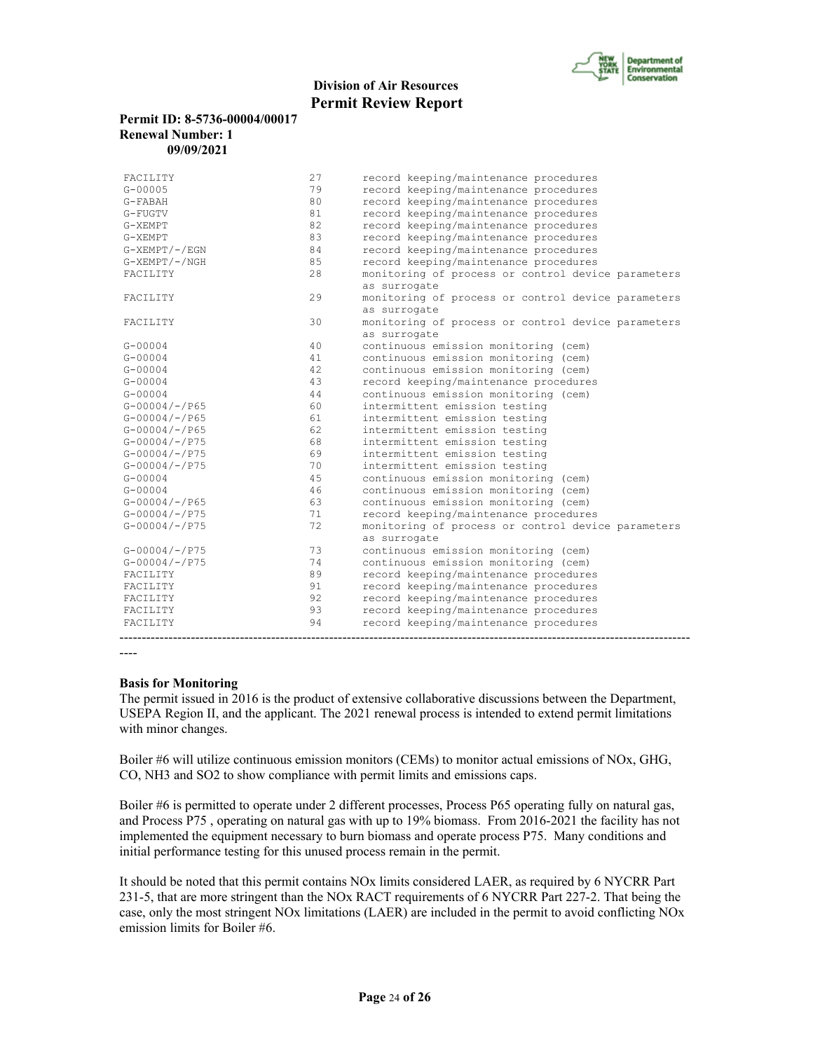

## **Permit ID: 8-5736-00004/00017 Renewal Number: 1 09/09/2021**

| FACILITY            | 94 | record keeping/maintenance procedures              |
|---------------------|----|----------------------------------------------------|
| FACILITY            | 93 | record keeping/maintenance procedures              |
| FACILITY            | 92 | record keeping/maintenance procedures              |
| FACILITY            | 91 | record keeping/maintenance procedures              |
| FACILITY            | 89 | record keeping/maintenance procedures              |
| $G - 00004 / - P75$ | 74 | continuous emission monitoring (cem)               |
| $G - 00004 / - P75$ | 73 | continuous emission monitoring (cem)               |
|                     |    | as surrogate                                       |
| $G - 00004 / - P75$ | 72 | monitoring of process or control device parameters |
| $G - 00004 / - P75$ | 71 | record keeping/maintenance procedures              |
| $G - 00004/ - 7065$ | 63 | continuous emission monitoring (cem)               |
| $G - 00004$         | 46 | continuous emission monitoring (cem)               |
| $G - 00004$         | 45 | continuous emission monitoring (cem)               |
| $G-00004/-/P75$     | 70 | intermittent emission testing                      |
| $G - 00004 / - P75$ | 69 | intermittent emission testing                      |
| $G - 00004 / - P75$ | 68 | intermittent emission testing                      |
| $G - 00004 / - P65$ | 62 | intermittent emission testing                      |
| $G - 00004/ - 7065$ | 61 | intermittent emission testing                      |
| $G - 00004 / - P65$ | 60 | intermittent emission testing                      |
| $G - 00004$         | 44 | continuous emission monitoring (cem)               |
| $G - 00004$         | 43 | record keeping/maintenance procedures              |
| $G - 00004$         | 42 | continuous emission monitoring (cem)               |
| $G - 00004$         | 41 | continuous emission monitoring (cem)               |
| $G - 00004$         | 40 | continuous emission monitoring (cem)               |
|                     |    | as surrogate                                       |
| FACILITY            | 30 | monitoring of process or control device parameters |
|                     |    | as surrogate                                       |
| FACILITY            | 29 | monitoring of process or control device parameters |
|                     |    | as surrogate                                       |
| FACILITY            | 28 | monitoring of process or control device parameters |
| $G-XEMPT / - / NGH$ | 85 | record keeping/maintenance procedures              |
| $G-XEMPT/ -/EGN$    | 84 | record keeping/maintenance procedures              |
| G-XEMPT             | 83 | record keeping/maintenance procedures              |
| G-XEMPT             | 82 | record keeping/maintenance procedures              |
| G-FUGTV             | 81 | record keeping/maintenance procedures              |
| G-FABAH             | 80 | record keeping/maintenance procedures              |
| $G - 00005$         | 79 | record keeping/maintenance procedures              |
| FACILITY            | 27 | record keeping/maintenance procedures              |

----

#### **Basis for Monitoring**

The permit issued in 2016 is the product of extensive collaborative discussions between the Department, USEPA Region II, and the applicant. The 2021 renewal process is intended to extend permit limitations with minor changes.

Boiler #6 will utilize continuous emission monitors (CEMs) to monitor actual emissions of NOx, GHG, CO, NH3 and SO2 to show compliance with permit limits and emissions caps.

Boiler #6 is permitted to operate under 2 different processes, Process P65 operating fully on natural gas, and Process P75 , operating on natural gas with up to 19% biomass. From 2016-2021 the facility has not implemented the equipment necessary to burn biomass and operate process P75. Many conditions and initial performance testing for this unused process remain in the permit.

It should be noted that this permit contains NOx limits considered LAER, as required by 6 NYCRR Part 231-5, that are more stringent than the NOx RACT requirements of 6 NYCRR Part 227-2. That being the case, only the most stringent NOx limitations (LAER) are included in the permit to avoid conflicting NOx emission limits for Boiler #6.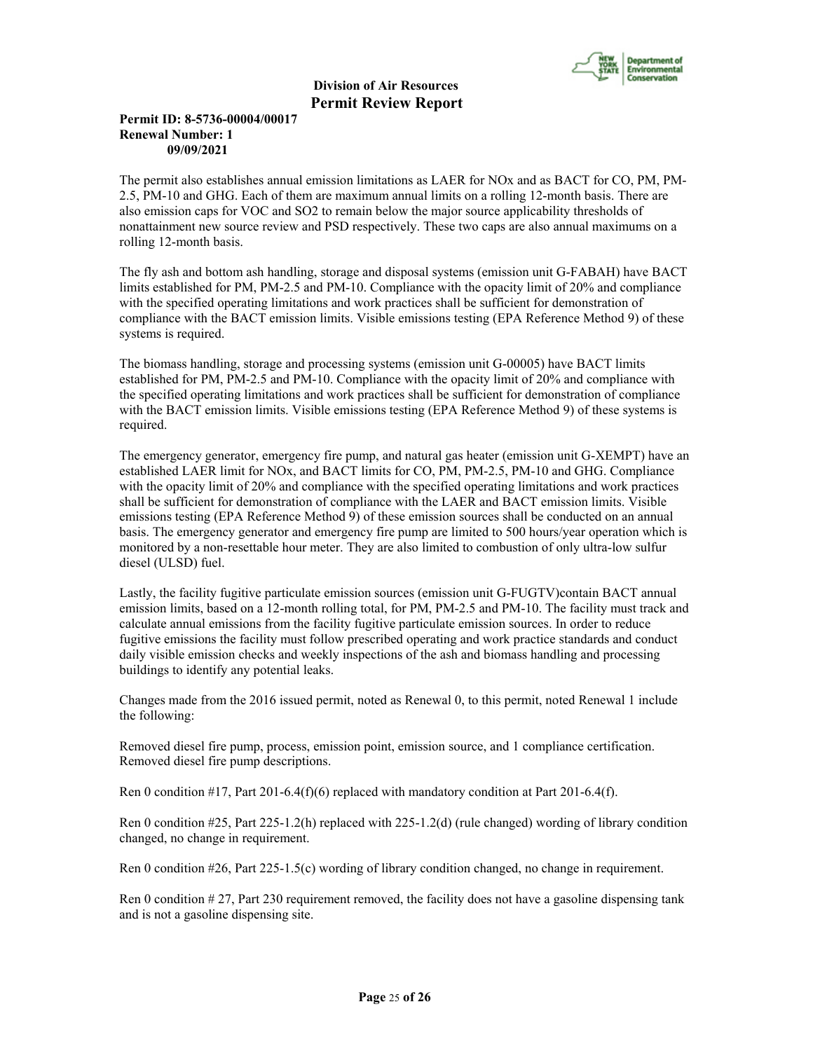

# **Permit ID: 8-5736-00004/00017 Renewal Number: 1 09/09/2021**

The permit also establishes annual emission limitations as LAER for NOx and as BACT for CO, PM, PM-2.5, PM-10 and GHG. Each of them are maximum annual limits on a rolling 12-month basis. There are also emission caps for VOC and SO2 to remain below the major source applicability thresholds of nonattainment new source review and PSD respectively. These two caps are also annual maximums on a rolling 12-month basis.

The fly ash and bottom ash handling, storage and disposal systems (emission unit G-FABAH) have BACT limits established for PM, PM-2.5 and PM-10. Compliance with the opacity limit of 20% and compliance with the specified operating limitations and work practices shall be sufficient for demonstration of compliance with the BACT emission limits. Visible emissions testing (EPA Reference Method 9) of these systems is required.

The biomass handling, storage and processing systems (emission unit G-00005) have BACT limits established for PM, PM-2.5 and PM-10. Compliance with the opacity limit of 20% and compliance with the specified operating limitations and work practices shall be sufficient for demonstration of compliance with the BACT emission limits. Visible emissions testing (EPA Reference Method 9) of these systems is required.

The emergency generator, emergency fire pump, and natural gas heater (emission unit G-XEMPT) have an established LAER limit for NOx, and BACT limits for CO, PM, PM-2.5, PM-10 and GHG. Compliance with the opacity limit of 20% and compliance with the specified operating limitations and work practices shall be sufficient for demonstration of compliance with the LAER and BACT emission limits. Visible emissions testing (EPA Reference Method 9) of these emission sources shall be conducted on an annual basis. The emergency generator and emergency fire pump are limited to 500 hours/year operation which is monitored by a non-resettable hour meter. They are also limited to combustion of only ultra-low sulfur diesel (ULSD) fuel.

Lastly, the facility fugitive particulate emission sources (emission unit G-FUGTV)contain BACT annual emission limits, based on a 12-month rolling total, for PM, PM-2.5 and PM-10. The facility must track and calculate annual emissions from the facility fugitive particulate emission sources. In order to reduce fugitive emissions the facility must follow prescribed operating and work practice standards and conduct daily visible emission checks and weekly inspections of the ash and biomass handling and processing buildings to identify any potential leaks.

Changes made from the 2016 issued permit, noted as Renewal 0, to this permit, noted Renewal 1 include the following:

Removed diesel fire pump, process, emission point, emission source, and 1 compliance certification. Removed diesel fire pump descriptions.

Ren 0 condition #17, Part 201-6.4(f)(6) replaced with mandatory condition at Part 201-6.4(f).

Ren 0 condition #25, Part 225-1.2(h) replaced with 225-1.2(d) (rule changed) wording of library condition changed, no change in requirement.

Ren 0 condition #26, Part 225-1.5(c) wording of library condition changed, no change in requirement.

Ren 0 condition # 27, Part 230 requirement removed, the facility does not have a gasoline dispensing tank and is not a gasoline dispensing site.